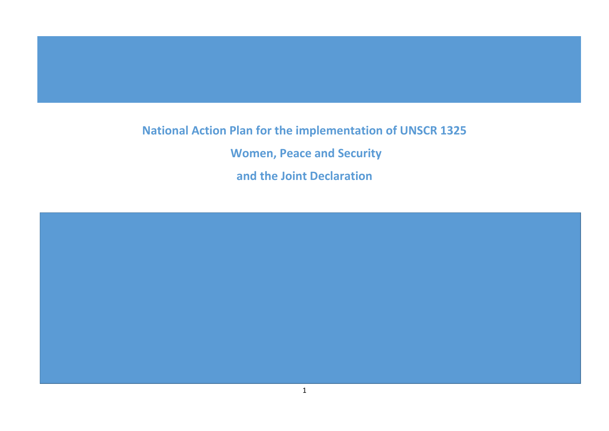# **National Action Plan for the implementation of UNSCR 1325**

**Women, Peace and Security**

**and the Joint Declaration**

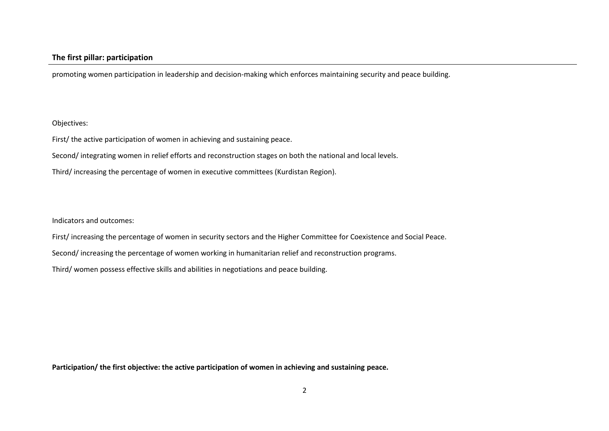promoting women participation in leadership and decision-making which enforces maintaining security and peace building.

#### Objectives:

First/ the active participation of women in achieving and sustaining peace.

Second/ integrating women in relief efforts and reconstruction stages on both the national and local levels.

Third/ increasing the percentage of women in executive committees (Kurdistan Region).

Indicators and outcomes:

First/ increasing the percentage of women in security sectors and the Higher Committee for Coexistence and Social Peace.

Second/ increasing the percentage of women working in humanitarian relief and reconstruction programs.

Third/ women possess effective skills and abilities in negotiations and peace building.

**Participation/ the first objective: the active participation of women in achieving and sustaining peace.**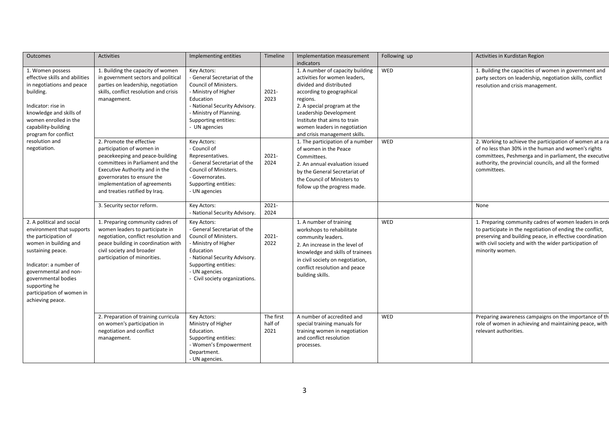| Outcomes                                                                                                                                                                                                                                                                 | <b>Activities</b>                                                                                                                                                                                                                                              | Implementing entities                                                                                                                                                                                                       | <b>Timeline</b>              | Implementation measurement<br>indicators                                                                                                                                                                                                                                                        | Following up | Activities in Kurdistan Region                                                                                                                                                                                                                               |
|--------------------------------------------------------------------------------------------------------------------------------------------------------------------------------------------------------------------------------------------------------------------------|----------------------------------------------------------------------------------------------------------------------------------------------------------------------------------------------------------------------------------------------------------------|-----------------------------------------------------------------------------------------------------------------------------------------------------------------------------------------------------------------------------|------------------------------|-------------------------------------------------------------------------------------------------------------------------------------------------------------------------------------------------------------------------------------------------------------------------------------------------|--------------|--------------------------------------------------------------------------------------------------------------------------------------------------------------------------------------------------------------------------------------------------------------|
| 1. Women possess<br>effective skills and abilities<br>in negotiations and peace<br>building.<br>Indicator: rise in<br>knowledge and skills of<br>women enrolled in the<br>capability-building<br>program for conflict                                                    | 1. Building the capacity of women<br>in government sectors and political<br>parties on leadership, negotiation<br>skills, conflict resolution and crisis<br>management.                                                                                        | Key Actors:<br>- General Secretariat of the<br>Council of Ministers.<br>- Ministry of Higher<br>Education<br>- National Security Advisory.<br>- Ministry of Planning.<br>Supporting entities:<br>- UN agencies              | 2021-<br>2023                | 1. A number of capacity building<br>activities for women leaders,<br>divided and distributed<br>according to geographical<br>regions.<br>2. A special program at the<br>Leadership Development<br>Institute that aims to train<br>women leaders in negotiation<br>and crisis management skills. | <b>WED</b>   | 1. Building the capacities of women in government and<br>party sectors on leadership, negotiation skills, conflict<br>resolution and crisis management.                                                                                                      |
| resolution and<br>negotiation.                                                                                                                                                                                                                                           | 2. Promote the effective<br>participation of women in<br>peacekeeping and peace-building<br>committees in Parliament and the<br>Executive Authority and in the<br>governorates to ensure the<br>implementation of agreements<br>and treaties ratified by Iraq. | Key Actors:<br>- Council of<br>Representatives.<br>- General Secretariat of the<br><b>Council of Ministers.</b><br>- Governorates.<br>Supporting entities:<br>- UN agencies                                                 | 2021-<br>2024                | 1. The participation of a number<br>of women in the Peace<br>Committees.<br>2. An annual evaluation issued<br>by the General Secretariat of<br>the Council of Ministers to<br>follow up the progress made.                                                                                      | WED          | 2. Working to achieve the participation of women at a ra<br>of no less than 30% in the human and women's rights<br>committees, Peshmerga and in parliament, the executive<br>authority, the provincial councils, and all the formed<br>committees.           |
|                                                                                                                                                                                                                                                                          | 3. Security sector reform.                                                                                                                                                                                                                                     | Key Actors:<br>- National Security Advisory.                                                                                                                                                                                | $2021 -$<br>2024             |                                                                                                                                                                                                                                                                                                 |              | None                                                                                                                                                                                                                                                         |
| 2. A political and social<br>environment that supports<br>the participation of<br>women in building and<br>sustaining peace.<br>Indicator: a number of<br>governmental and non-<br>governmental bodies<br>supporting he<br>participation of women in<br>achieving peace. | 1. Preparing community cadres of<br>women leaders to participate in<br>negotiation, conflict resolution and<br>peace building in coordination with<br>civil society and broader<br>participation of minorities.                                                | Key Actors:<br>- General Secretariat of the<br><b>Council of Ministers.</b><br>- Ministry of Higher<br>Education<br>- National Security Advisory.<br>Supporting entities:<br>- UN agencies.<br>Civil society organizations. | 2021-<br>2022                | 1. A number of training<br>workshops to rehabilitate<br>community leaders.<br>2. An increase in the level of<br>knowledge and skills of trainees<br>in civil society on negotiation,<br>conflict resolution and peace<br>building skills.                                                       | WED          | 1. Preparing community cadres of women leaders in orde<br>to participate in the negotiation of ending the conflict,<br>preserving and building peace, in effective coordination<br>with civil society and with the wider participation of<br>minority women. |
|                                                                                                                                                                                                                                                                          | 2. Preparation of training curricula<br>on women's participation in<br>negotiation and conflict<br>management.                                                                                                                                                 | Key Actors:<br>Ministry of Higher<br>Education.<br>Supporting entities:<br>- Women's Empowerment<br>Department.<br>- UN agencies.                                                                                           | The first<br>half of<br>2021 | A number of accredited and<br>special training manuals for<br>training women in negotiation<br>and conflict resolution<br>processes.                                                                                                                                                            | WED          | Preparing awareness campaigns on the importance of the<br>role of women in achieving and maintaining peace, with<br>relevant authorities.                                                                                                                    |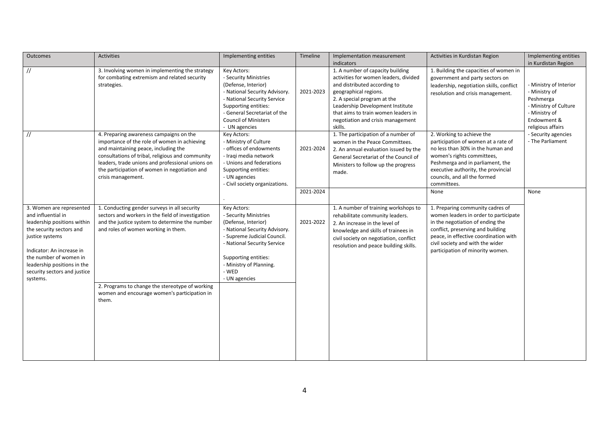| Outcomes                                                                                                                                                                                                                                                       | Activities                                                                                                                                                                                                                                                                                                     | Implementing entities                                                                                                                                                                                                                   | Timeline  | Implementation measurement<br>indicators                                                                                                                                                                                                                                                     | Activities in Kurdistan Region                                                                                                                                                                                                                                      | Implementing entities<br>in Kurdistan Region                                                                                       |
|----------------------------------------------------------------------------------------------------------------------------------------------------------------------------------------------------------------------------------------------------------------|----------------------------------------------------------------------------------------------------------------------------------------------------------------------------------------------------------------------------------------------------------------------------------------------------------------|-----------------------------------------------------------------------------------------------------------------------------------------------------------------------------------------------------------------------------------------|-----------|----------------------------------------------------------------------------------------------------------------------------------------------------------------------------------------------------------------------------------------------------------------------------------------------|---------------------------------------------------------------------------------------------------------------------------------------------------------------------------------------------------------------------------------------------------------------------|------------------------------------------------------------------------------------------------------------------------------------|
| $\frac{1}{2}$                                                                                                                                                                                                                                                  | 3. Involving women in implementing the strategy<br>for combating extremism and related security<br>strategies.                                                                                                                                                                                                 | Key Actors:<br>- Security Ministries<br>(Defense, Interior)<br>- National Security Advisory.<br>- National Security Service<br>Supporting entities:<br>- General Secretariat of the<br><b>Council of Ministers</b><br>- UN agencies     | 2021-2023 | 1. A number of capacity building<br>activities for women leaders, divided<br>and distributed according to<br>geographical regions.<br>2. A special program at the<br>Leadership Development Institute<br>that aims to train women leaders in<br>negotiation and crisis management<br>skills. | 1. Building the capacities of women in<br>government and party sectors on<br>leadership, negotiation skills, conflict<br>resolution and crisis management.                                                                                                          | - Ministry of Interior<br>- Ministry of<br>Peshmerga<br>- Ministry of Culture<br>- Ministry of<br>Endowment &<br>religious affairs |
| $\frac{1}{2}$                                                                                                                                                                                                                                                  | 4. Preparing awareness campaigns on the<br>importance of the role of women in achieving<br>and maintaining peace, including the<br>consultations of tribal, religious and community<br>leaders, trade unions and professional unions on<br>the participation of women in negotiation and<br>crisis management. | Key Actors:<br>- Ministry of Culture<br>- offices of endowments<br>- Iragi media network<br>- Unions and federations<br>Supporting entities:<br>- UN agencies<br>- Civil society organizations.                                         | 2021-2024 | 1. The participation of a number of<br>women in the Peace Committees.<br>2. An annual evaluation issued by the<br>General Secretariat of the Council of<br>Ministers to follow up the progress<br>made.                                                                                      | 2. Working to achieve the<br>participation of women at a rate of<br>no less than 30% in the human and<br>women's rights committees,<br>Peshmerga and in parliament, the<br>executive authority, the provincial<br>councils, and all the formed<br>committees.       | - Security agencies<br>- The Parliament                                                                                            |
|                                                                                                                                                                                                                                                                |                                                                                                                                                                                                                                                                                                                |                                                                                                                                                                                                                                         | 2021-2024 |                                                                                                                                                                                                                                                                                              | None                                                                                                                                                                                                                                                                | None                                                                                                                               |
| 3. Women are represented<br>and influential in<br>leadership positions within<br>the security sectors and<br>justice systems<br>Indicator: An increase in<br>the number of women in<br>leadership positions in the<br>security sectors and justice<br>systems. | 1. Conducting gender surveys in all security<br>sectors and workers in the field of investigation<br>and the justice system to determine the number<br>and roles of women working in them.<br>2. Programs to change the stereotype of working<br>women and encourage women's participation in<br>them.         | Key Actors:<br>- Security Ministries<br>(Defense, Interior)<br>- National Security Advisory.<br>- Supreme Judicial Council.<br>- National Security Service<br>Supporting entities:<br>- Ministry of Planning.<br>- WED<br>- UN agencies | 2021-2022 | 1. A number of training workshops to<br>rehabilitate community leaders.<br>2. An increase in the level of<br>knowledge and skills of trainees in<br>civil society on negotiation, conflict<br>resolution and peace building skills.                                                          | 1. Preparing community cadres of<br>women leaders in order to participate<br>in the negotiation of ending the<br>conflict, preserving and building<br>peace, in effective coordination with<br>civil society and with the wider<br>participation of minority women. |                                                                                                                                    |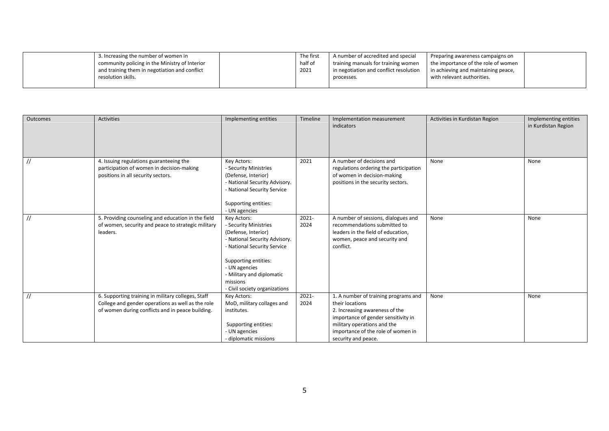| 3. Increasing the number of women in<br>community policing in the Ministry of Interior<br>and training them in negotiation and conflict | The first<br>half of<br>2021 | A number of accredited and special<br>training manuals for training women<br>I in negotiation and conflict resolution | Preparing awareness campaigns on<br>the importance of the role of women<br>in achieving and maintaining peace, |  |
|-----------------------------------------------------------------------------------------------------------------------------------------|------------------------------|-----------------------------------------------------------------------------------------------------------------------|----------------------------------------------------------------------------------------------------------------|--|
| resolution skills.                                                                                                                      |                              | processes.                                                                                                            | with relevant authorities.                                                                                     |  |

| <b>Outcomes</b> | <b>Activities</b>                                                                                                                                           | Implementing entities                                                                                                                                                                                                                          | Timeline      | Implementation measurement<br>indicators                                                                                                                                                                                     | Activities in Kurdistan Region | Implementing entities<br>in Kurdistan Region |
|-----------------|-------------------------------------------------------------------------------------------------------------------------------------------------------------|------------------------------------------------------------------------------------------------------------------------------------------------------------------------------------------------------------------------------------------------|---------------|------------------------------------------------------------------------------------------------------------------------------------------------------------------------------------------------------------------------------|--------------------------------|----------------------------------------------|
| $\frac{1}{2}$   | 4. Issuing regulations guaranteeing the<br>participation of women in decision-making<br>positions in all security sectors.                                  | Key Actors:<br>- Security Ministries<br>(Defense, Interior)<br>- National Security Advisory.<br>- National Security Service<br>Supporting entities:<br>- UN agencies                                                                           | 2021          | A number of decisions and<br>regulations ordering the participation<br>of women in decision-making<br>positions in the security sectors.                                                                                     | None                           | None                                         |
| $\frac{1}{2}$   | 5. Providing counseling and education in the field<br>of women, security and peace to strategic military<br>leaders.                                        | Key Actors:<br>- Security Ministries<br>(Defense, Interior)<br>- National Security Advisory.<br>- National Security Service<br>Supporting entities:<br>- UN agencies<br>- Military and diplomatic<br>missions<br>- Civil society organizations | 2021-<br>2024 | A number of sessions, dialogues and<br>recommendations submitted to<br>leaders in the field of education,<br>women, peace and security and<br>conflict.                                                                      | None                           | None                                         |
| $\frac{1}{2}$   | 6. Supporting training in military colleges, Staff<br>College and gender operations as well as the role<br>of women during conflicts and in peace building. | Key Actors:<br>MoD, military collages and<br>institutes.<br>Supporting entities:<br>- UN agencies<br>- diplomatic missions                                                                                                                     | 2021-<br>2024 | 1. A number of training programs and<br>their locations<br>2. Increasing awareness of the<br>importance of gender sensitivity in<br>military operations and the<br>importance of the role of women in<br>security and peace. | None                           | None                                         |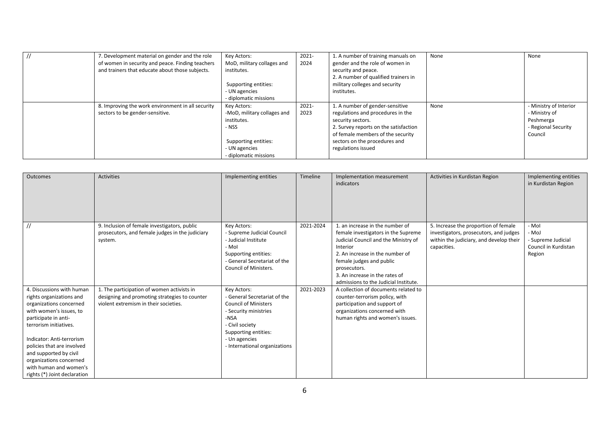| 7. Development material on gender and the role<br>of women in security and peace. Finding teachers<br>and trainers that educate about those subjects. | Key Actors:<br>MoD, military collages and<br>institutes.<br>Supporting entities:<br>- UN agencies<br>- diplomatic missions         | $2021 -$<br>2024 | 1. A number of training manuals on<br>gender and the role of women in<br>security and peace.<br>2. A number of qualified trainers in<br>military colleges and security<br>institutes.                                          | None | None                                                                                   |
|-------------------------------------------------------------------------------------------------------------------------------------------------------|------------------------------------------------------------------------------------------------------------------------------------|------------------|--------------------------------------------------------------------------------------------------------------------------------------------------------------------------------------------------------------------------------|------|----------------------------------------------------------------------------------------|
| 8. Improving the work environment in all security<br>sectors to be gender-sensitive.                                                                  | Key Actors:<br>-MoD, military collages and<br>institutes.<br>- NSS<br>Supporting entities:<br>- UN agencies<br>diplomatic missions | 2021-<br>2023    | 1. A number of gender-sensitive<br>regulations and procedures in the<br>security sectors.<br>2. Survey reports on the satisfaction<br>of female members of the security<br>sectors on the procedures and<br>regulations issued | None | - Ministry of Interior<br>- Ministry of<br>Peshmerga<br>- Regional Security<br>Council |

| Outcomes                                                                                                                                                                                                                                                                                                                                | <b>Activities</b>                                                                                                                    | Implementing entities                                                                                                                                                                                    | Timeline  | Implementation measurement<br>indicators                                                                                                                                                                                                                                             | Activities in Kurdistan Region                                                                                                           | Implementing entities<br>in Kurdistan Region                           |
|-----------------------------------------------------------------------------------------------------------------------------------------------------------------------------------------------------------------------------------------------------------------------------------------------------------------------------------------|--------------------------------------------------------------------------------------------------------------------------------------|----------------------------------------------------------------------------------------------------------------------------------------------------------------------------------------------------------|-----------|--------------------------------------------------------------------------------------------------------------------------------------------------------------------------------------------------------------------------------------------------------------------------------------|------------------------------------------------------------------------------------------------------------------------------------------|------------------------------------------------------------------------|
| $^{\prime\prime}$                                                                                                                                                                                                                                                                                                                       | 9. Inclusion of female investigators, public<br>prosecutors, and female judges in the judiciary<br>system.                           | Key Actors:<br>- Supreme Judicial Council<br>- Judicial Institute<br>- Mol<br>Supporting entities:<br>- General Secretariat of the<br><b>Council of Ministers.</b>                                       | 2021-2024 | 1. an increase in the number of<br>female investigators in the Supreme<br>Judicial Council and the Ministry of<br>Interior<br>2. An increase in the number of<br>female judges and public<br>prosecutors.<br>3. An increase in the rates of<br>admissions to the Judicial Institute. | 5. Increase the proportion of female<br>investigators, prosecutors, and judges<br>within the judiciary, and develop their<br>capacities. | - Mol<br>- MoJ<br>- Supreme Judicial<br>Council in Kurdistan<br>Region |
| 4. Discussions with human<br>rights organizations and<br>organizations concerned<br>with women's issues, to<br>participate in anti-<br>terrorism initiatives.<br>Indicator: Anti-terrorism<br>policies that are involved<br>and supported by civil<br>organizations concerned<br>with human and women's<br>rights (*) Joint declaration | 1. The participation of women activists in<br>designing and promoting strategies to counter<br>violent extremism in their societies. | Key Actors:<br>- General Secretariat of the<br><b>Council of Ministers</b><br>- Security ministries<br>-NSA<br>- Civil society<br>Supporting entities:<br>- Un agencies<br>- International organizations | 2021-2023 | A collection of documents related to<br>counter-terrorism policy, with<br>participation and support of<br>organizations concerned with<br>human rights and women's issues.                                                                                                           |                                                                                                                                          |                                                                        |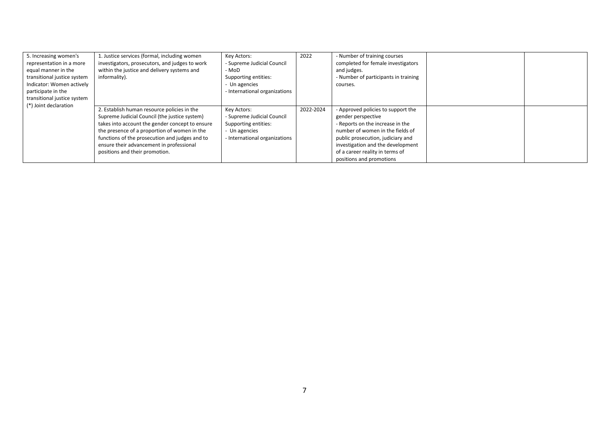| 5. Increasing women's<br>representation in a more<br>equal manner in the<br>transitional justice system<br>Indicator: Women actively<br>participate in the<br>transitional justice system<br>(*) Joint declaration | 1. Justice services (formal, including women<br>investigators, prosecutors, and judges to work<br>within the justice and delivery systems and<br>informality).                                                                                                                                                                  | Key Actors:<br>- Supreme Judicial Council<br>- MoD<br>Supporting entities:<br>- Un agencies<br>- International organizations | 2022      | - Number of training courses<br>completed for female investigators<br>and judges.<br>- Number of participants in training<br>courses.                                                                                                                                     |  |
|--------------------------------------------------------------------------------------------------------------------------------------------------------------------------------------------------------------------|---------------------------------------------------------------------------------------------------------------------------------------------------------------------------------------------------------------------------------------------------------------------------------------------------------------------------------|------------------------------------------------------------------------------------------------------------------------------|-----------|---------------------------------------------------------------------------------------------------------------------------------------------------------------------------------------------------------------------------------------------------------------------------|--|
|                                                                                                                                                                                                                    | 2. Establish human resource policies in the<br>Supreme Judicial Council (the justice system)<br>takes into account the gender concept to ensure<br>the presence of a proportion of women in the<br>functions of the prosecution and judges and to<br>ensure their advancement in professional<br>positions and their promotion. | Key Actors:<br>- Supreme Judicial Council<br>Supporting entities:<br>- Un agencies<br>- International organizations          | 2022-2024 | - Approved policies to support the<br>gender perspective<br>- Reports on the increase in the<br>number of women in the fields of<br>public prosecution, judiciary and<br>investigation and the development<br>of a career reality in terms of<br>positions and promotions |  |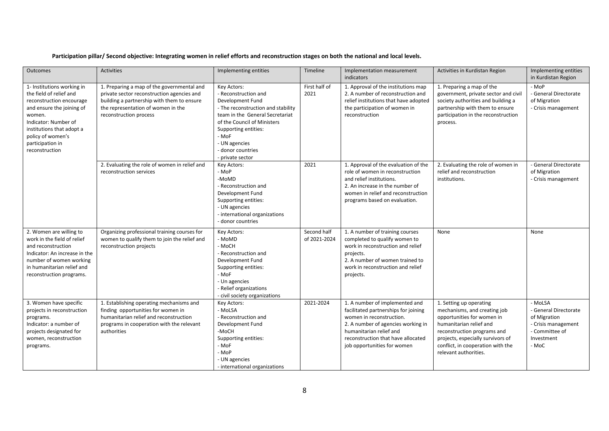#### **Participation pillar/ Second objective: Integrating women in relief efforts and reconstruction stages on both the national and local levels.**

| <b>Outcomes</b>                                                                                                                                                                                                                          | <b>Activities</b>                                                                                                                                                                                      | Implementing entities                                                                                                                                                                                                                                      | <b>Timeline</b>             | Implementation measurement<br>indicators                                                                                                                                                                                                 | Activities in Kurdistan Region                                                                                                                                                                                                                     | Implementing entities<br>in Kurdistan Region                                                                     |
|------------------------------------------------------------------------------------------------------------------------------------------------------------------------------------------------------------------------------------------|--------------------------------------------------------------------------------------------------------------------------------------------------------------------------------------------------------|------------------------------------------------------------------------------------------------------------------------------------------------------------------------------------------------------------------------------------------------------------|-----------------------------|------------------------------------------------------------------------------------------------------------------------------------------------------------------------------------------------------------------------------------------|----------------------------------------------------------------------------------------------------------------------------------------------------------------------------------------------------------------------------------------------------|------------------------------------------------------------------------------------------------------------------|
| 1- Institutions working in<br>the field of relief and<br>reconstruction encourage<br>and ensure the joining of<br>women.<br>Indicator: Number of<br>institutions that adopt a<br>policy of women's<br>participation in<br>reconstruction | 1. Preparing a map of the governmental and<br>private sector reconstruction agencies and<br>building a partnership with them to ensure<br>the representation of women in the<br>reconstruction process | Key Actors:<br>- Reconstruction and<br>Development Fund<br>- The reconstruction and stability<br>team in the General Secretariat<br>of the Council of Ministers<br>Supporting entities:<br>- MoF<br>- UN agencies<br>- donor countries<br>- private sector | First half of<br>2021       | 1. Approval of the institutions map<br>2. A number of reconstruction and<br>relief institutions that have adopted<br>the participation of women in<br>reconstruction                                                                     | 1. Preparing a map of the<br>government, private sector and civil<br>society authorities and building a<br>partnership with them to ensure<br>participation in the reconstruction<br>process.                                                      | - MoP<br>- General Directorate<br>of Migration<br>- Crisis management                                            |
|                                                                                                                                                                                                                                          | 2. Evaluating the role of women in relief and<br>reconstruction services                                                                                                                               | Key Actors:<br>- MoP<br>-MoMD<br>- Reconstruction and<br>Development Fund<br>Supporting entities:<br>- UN agencies<br>- international organizations<br>- donor countries                                                                                   | 2021                        | 1. Approval of the evaluation of the<br>role of women in reconstruction<br>and relief institutions.<br>2. An increase in the number of<br>women in relief and reconstruction<br>programs based on evaluation.                            | 2. Evaluating the role of women in<br>relief and reconstruction<br>institutions.                                                                                                                                                                   | - General Directorate<br>of Migration<br>- Crisis management                                                     |
| 2. Women are willing to<br>work in the field of relief<br>and reconstruction<br>Indicator: An increase in the<br>number of women working<br>in humanitarian relief and<br>reconstruction programs.                                       | Organizing professional training courses for<br>women to qualify them to join the relief and<br>reconstruction projects                                                                                | Key Actors:<br>- MoMD<br>- MoCH<br>- Reconstruction and<br>Development Fund<br>Supporting entities:<br>- MoF<br>- Un agencies<br>- Relief organizations<br>- civil society organizations                                                                   | Second half<br>of 2021-2024 | 1. A number of training courses<br>completed to qualify women to<br>work in reconstruction and relief<br>projects.<br>2. A number of women trained to<br>work in reconstruction and relief<br>projects.                                  | None                                                                                                                                                                                                                                               | None                                                                                                             |
| 3. Women have specific<br>projects in reconstruction<br>programs.<br>Indicator: a number of<br>projects designated for<br>women, reconstruction<br>programs.                                                                             | 1. Establishing operating mechanisms and<br>finding opportunities for women in<br>humanitarian relief and reconstruction<br>programs in cooperation with the relevant<br>authorities                   | Key Actors:<br>- MoLSA<br>- Reconstruction and<br>Development Fund<br>-MoCH<br>Supporting entities:<br>- MoF<br>- MoP<br>- UN agencies<br>- international organizations                                                                                    | 2021-2024                   | 1. A number of implemented and<br>facilitated partnerships for joining<br>women in reconstruction.<br>2. A number of agencies working in<br>humanitarian relief and<br>reconstruction that have allocated<br>job opportunities for women | 1. Setting up operating<br>mechanisms, and creating job<br>opportunities for women in<br>humanitarian relief and<br>reconstruction programs and<br>projects, especially survivors of<br>conflict, in cooperation with the<br>relevant authorities. | - MoLSA<br>- General Directorate<br>of Migration<br>- Crisis management<br>- Committee of<br>Investment<br>- MoC |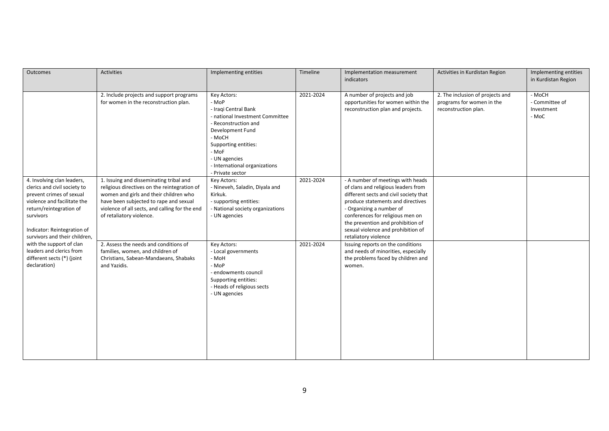| Outcomes                                                                                                                                                                                                                      | Activities                                                                                                                                                                                                                                                | Implementing entities                                                                                                                                                                                                                        | Timeline  | Implementation measurement<br>indicators                                                                                                                                                                                                                                                                                   | Activities in Kurdistan Region                                                        | Implementing entities<br>in Kurdistan Region    |
|-------------------------------------------------------------------------------------------------------------------------------------------------------------------------------------------------------------------------------|-----------------------------------------------------------------------------------------------------------------------------------------------------------------------------------------------------------------------------------------------------------|----------------------------------------------------------------------------------------------------------------------------------------------------------------------------------------------------------------------------------------------|-----------|----------------------------------------------------------------------------------------------------------------------------------------------------------------------------------------------------------------------------------------------------------------------------------------------------------------------------|---------------------------------------------------------------------------------------|-------------------------------------------------|
|                                                                                                                                                                                                                               | 2. Include projects and support programs<br>for women in the reconstruction plan.                                                                                                                                                                         | Key Actors:<br>- MoP<br>- Iraqi Central Bank<br>- national Investment Committee<br>- Reconstruction and<br>Development Fund<br>- MoCH<br>Supporting entities:<br>- MoF<br>- UN agencies<br>- International organizations<br>- Private sector | 2021-2024 | A number of projects and job<br>opportunities for women within the<br>reconstruction plan and projects.                                                                                                                                                                                                                    | 2. The inclusion of projects and<br>programs for women in the<br>reconstruction plan. | - MoCH<br>- Committee of<br>Investment<br>- MoC |
| 4. Involving clan leaders,<br>clerics and civil society to<br>prevent crimes of sexual<br>violence and facilitate the<br>return/reintegration of<br>survivors<br>Indicator: Reintegration of<br>survivors and their children, | 1. Issuing and disseminating tribal and<br>religious directives on the reintegration of<br>women and girls and their children who<br>have been subjected to rape and sexual<br>violence of all sects, and calling for the end<br>of retaliatory violence. | Key Actors:<br>- Nineveh, Saladin, Diyala and<br>Kirkuk.<br>- supporting entities:<br>- National society organizations<br>- UN agencies                                                                                                      | 2021-2024 | - A number of meetings with heads<br>of clans and religious leaders from<br>different sects and civil society that<br>produce statements and directives<br>- Organizing a number of<br>conferences for religious men on<br>the prevention and prohibition of<br>sexual violence and prohibition of<br>retaliatory violence |                                                                                       |                                                 |
| with the support of clan<br>leaders and clerics from<br>different sects (*) (joint<br>declaration)                                                                                                                            | 2. Assess the needs and conditions of<br>families, women, and children of<br>Christians, Sabean-Mandaeans, Shabaks<br>and Yazidis.                                                                                                                        | Key Actors:<br>- Local governments<br>- MoH<br>- MoP<br>- endowments council<br>Supporting entities:<br>- Heads of religious sects<br>- UN agencies                                                                                          | 2021-2024 | Issuing reports on the conditions<br>and needs of minorities, especially<br>the problems faced by children and<br>women.                                                                                                                                                                                                   |                                                                                       |                                                 |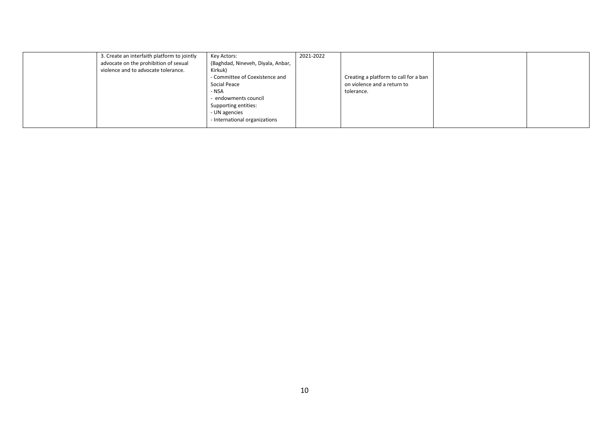| 3. Create an interfaith platform to jointly | Key Actors:                       | 2021-2022 |                                       |  |
|---------------------------------------------|-----------------------------------|-----------|---------------------------------------|--|
| advocate on the prohibition of sexual       | (Baghdad, Nineveh, Diyala, Anbar, |           |                                       |  |
| violence and to advocate tolerance.         | Kirkuk)                           |           |                                       |  |
|                                             | - Committee of Coexistence and    |           | Creating a platform to call for a ban |  |
|                                             | Social Peace                      |           | on violence and a return to           |  |
|                                             | - NSA                             |           | tolerance.                            |  |
|                                             | endowments council                |           |                                       |  |
|                                             | Supporting entities:              |           |                                       |  |
|                                             | - UN agencies                     |           |                                       |  |
|                                             | - International organizations     |           |                                       |  |
|                                             |                                   |           |                                       |  |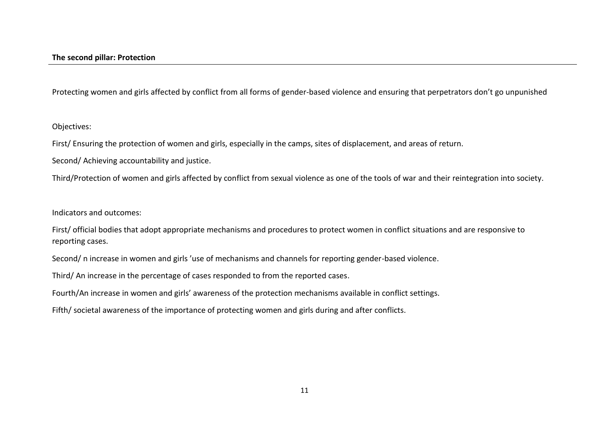Protecting women and girls affected by conflict from all forms of gender-based violence and ensuring that perpetrators don't go unpunished

Objectives:

First/ Ensuring the protection of women and girls, especially in the camps, sites of displacement, and areas of return.

Second/ Achieving accountability and justice.

Third/Protection of women and girls affected by conflict from sexual violence as one of the tools of war and their reintegration into society.

Indicators and outcomes:

First/ official bodies that adopt appropriate mechanisms and procedures to protect women in conflict situations and are responsive to reporting cases.

Second/ n increase in women and girls 'use of mechanisms and channels for reporting gender-based violence.

Third/ An increase in the percentage of cases responded to from the reported cases.

Fourth/An increase in women and girls' awareness of the protection mechanisms available in conflict settings.

Fifth/ societal awareness of the importance of protecting women and girls during and after conflicts.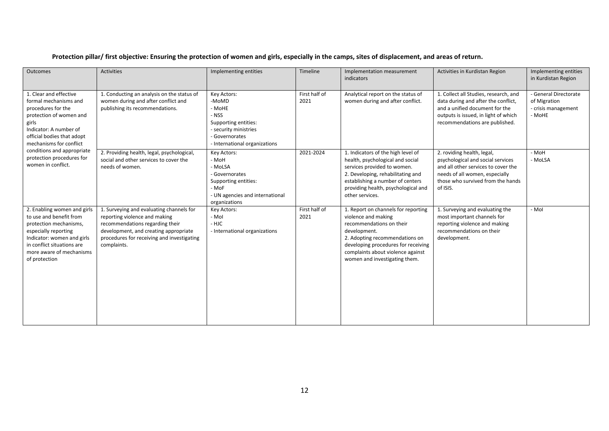### **Protection pillar/ first objective: Ensuring the protection of women and girls, especially in the camps, sites of displacement, and areas of return.**

| Outcomes                                                                                                                                                                                                                                                                      | <b>Activities</b>                                                                                                                                                                                                  | Implementing entities                                                                                                                       | Timeline              | Implementation measurement<br>indicators                                                                                                                                                                                                              | Activities in Kurdistan Region                                                                                                                                                            | Implementing entities<br>in Kurdistan Region                           |
|-------------------------------------------------------------------------------------------------------------------------------------------------------------------------------------------------------------------------------------------------------------------------------|--------------------------------------------------------------------------------------------------------------------------------------------------------------------------------------------------------------------|---------------------------------------------------------------------------------------------------------------------------------------------|-----------------------|-------------------------------------------------------------------------------------------------------------------------------------------------------------------------------------------------------------------------------------------------------|-------------------------------------------------------------------------------------------------------------------------------------------------------------------------------------------|------------------------------------------------------------------------|
| 1. Clear and effective<br>formal mechanisms and<br>procedures for the<br>protection of women and<br>girls<br>Indicator: A number of<br>official bodies that adopt<br>mechanisms for conflict<br>conditions and appropriate<br>protection procedures for<br>women in conflict. | 1. Conducting an analysis on the status of<br>women during and after conflict and<br>publishing its recommendations.                                                                                               | Key Actors:<br>-MoMD<br>- MoHE<br>- NSS<br>Supporting entities:<br>- security ministries<br>- Governorates<br>- International organizations | First half of<br>2021 | Analytical report on the status of<br>women during and after conflict.                                                                                                                                                                                | 1. Collect all Studies, research, and<br>data during and after the conflict,<br>and a unified document for the<br>outputs is issued, in light of which<br>recommendations are published.  | - General Directorate<br>of Migration<br>- crisis management<br>- MoHE |
|                                                                                                                                                                                                                                                                               | 2. Providing health, legal, psychological,<br>social and other services to cover the<br>needs of women.                                                                                                            | Key Actors:<br>- MoH<br>- MoLSA<br>- Governorates<br>Supporting entities:<br>- MoF<br>- UN agencies and international<br>organizations      | 2021-2024             | 1. Indicators of the high level of<br>health, psychological and social<br>services provided to women.<br>2. Developing, rehabilitating and<br>establishing a number of centers<br>providing health, psychological and<br>other services.              | 2. roviding health, legal,<br>psychological and social services<br>and all other services to cover the<br>needs of all women, especially<br>those who survived from the hands<br>of ISIS. | - MoH<br>- MoLSA                                                       |
| 2. Enabling women and girls<br>to use and benefit from<br>protection mechanisms,<br>especially reporting<br>Indicator: women and girls<br>in conflict situations are<br>more aware of mechanisms<br>of protection                                                             | 1. Surveying and evaluating channels for<br>reporting violence and making<br>recommendations regarding their<br>development, and creating appropriate<br>procedures for receiving and investigating<br>complaints. | Key Actors:<br>- Mol<br>- HJC<br>- International organizations                                                                              | First half of<br>2021 | 1. Report on channels for reporting<br>violence and making<br>recommendations on their<br>development.<br>2. Adopting recommendations on<br>developing procedures for receiving<br>complaints about violence against<br>women and investigating them. | 1. Surveying and evaluating the<br>most important channels for<br>reporting violence and making<br>recommendations on their<br>development.                                               | - Mol                                                                  |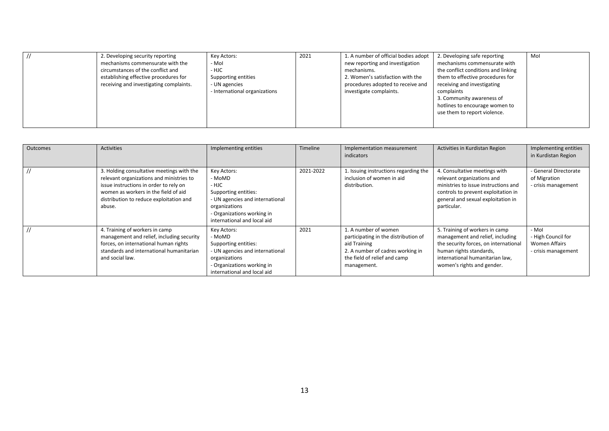| 2. Developing security reporting        | Key Actors:                   | 2021 | 1. A number of official bodies adopt | 2. Developing safe reporting        | Mol |
|-----------------------------------------|-------------------------------|------|--------------------------------------|-------------------------------------|-----|
| mechanisms commensurate with the        | - Mol                         |      | new reporting and investigation      | mechanisms commensurate with        |     |
| circumstances of the conflict and       | - HJC                         |      | mechanisms.                          | the conflict conditions and linking |     |
| establishing effective procedures for   | Supporting entities           |      | 2. Women's satisfaction with the     | them to effective procedures for    |     |
| receiving and investigating complaints. | - UN agencies                 |      | procedures adopted to receive and    | receiving and investigating         |     |
|                                         | - International organizations |      | investigate complaints.              | complaints                          |     |
|                                         |                               |      |                                      | 3. Community awareness of           |     |
|                                         |                               |      |                                      | hotlines to encourage women to      |     |
|                                         |                               |      |                                      | use them to report violence.        |     |
|                                         |                               |      |                                      |                                     |     |
|                                         |                               |      |                                      |                                     |     |

| <b>Outcomes</b> | Activities                                                                                                                                                                                                                   | Implementing entities                                                                                                                                                   | <b>Timeline</b> | Implementation measurement<br>indicators                                                                                                                        | Activities in Kurdistan Region                                                                                                                                                                          | Implementing entities<br>in Kurdistan Region                               |
|-----------------|------------------------------------------------------------------------------------------------------------------------------------------------------------------------------------------------------------------------------|-------------------------------------------------------------------------------------------------------------------------------------------------------------------------|-----------------|-----------------------------------------------------------------------------------------------------------------------------------------------------------------|---------------------------------------------------------------------------------------------------------------------------------------------------------------------------------------------------------|----------------------------------------------------------------------------|
|                 | 3. Holding consultative meetings with the<br>relevant organizations and ministries to<br>issue instructions in order to rely on<br>women as workers in the field of aid<br>distribution to reduce exploitation and<br>abuse. | Key Actors:<br>- MoMD<br>- HJC<br>Supporting entities:<br>- UN agencies and international<br>organizations<br>- Organizations working in<br>international and local aid | 2021-2022       | 1. Issuing instructions regarding the<br>inclusion of women in aid<br>distribution.                                                                             | 4. Consultative meetings with<br>relevant organizations and<br>ministries to issue instructions and<br>controls to prevent exploitation in<br>general and sexual exploitation in<br>particular.         | - General Directorate<br>of Migration<br>- crisis management               |
|                 | 4. Training of workers in camp<br>management and relief, including security<br>forces, on international human rights<br>standards and international humanitarian<br>and social law.                                          | Key Actors:<br>- MoMD<br>Supporting entities:<br>- UN agencies and international<br>organizations<br>- Organizations working in<br>international and local aid          | 2021            | 1. A number of women<br>participating in the distribution of<br>aid Training<br>2. A number of cadres working in<br>the field of relief and camp<br>management. | 5. Training of workers in camp<br>management and relief, including<br>the security forces, on international<br>human rights standards,<br>international humanitarian law,<br>women's rights and gender. | - Mol<br>- High Council for<br><b>Women Affairs</b><br>- crisis management |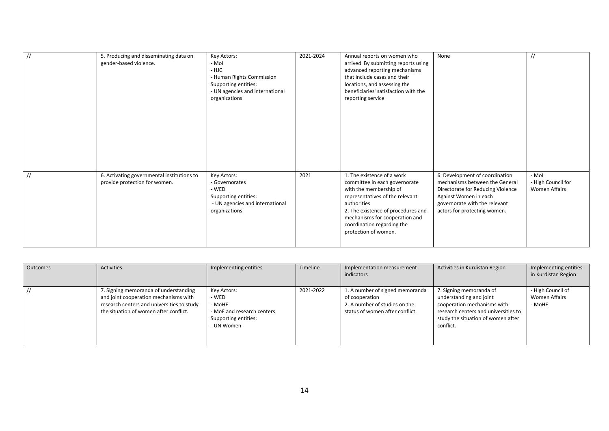| $\frac{1}{2}$  | 5. Producing and disseminating data on<br>gender-based violence.            | Key Actors:<br>- Mol<br>- HJC<br>- Human Rights Commission<br>Supporting entities:<br>- UN agencies and international<br>organizations | 2021-2024 | Annual reports on women who<br>arrived By submitting reports using<br>advanced reporting mechanisms<br>that include cases and their<br>locations, and assessing the<br>beneficiaries' satisfaction with the<br>reporting service                                      | None                                                                                                                                                                                            |                                                     |
|----------------|-----------------------------------------------------------------------------|----------------------------------------------------------------------------------------------------------------------------------------|-----------|-----------------------------------------------------------------------------------------------------------------------------------------------------------------------------------------------------------------------------------------------------------------------|-------------------------------------------------------------------------------------------------------------------------------------------------------------------------------------------------|-----------------------------------------------------|
| $\prime\prime$ | 6. Activating governmental institutions to<br>provide protection for women. | Key Actors:<br>- Governorates<br>- WED<br>Supporting entities:<br>- UN agencies and international<br>organizations                     | 2021      | 1. The existence of a work<br>committee in each governorate<br>with the membership of<br>representatives of the relevant<br>authorities<br>2. The existence of procedures and<br>mechanisms for cooperation and<br>coordination regarding the<br>protection of women. | 6. Development of coordination<br>mechanisms between the General<br>Directorate for Reducing Violence<br>Against Women in each<br>governorate with the relevant<br>actors for protecting women. | - Mol<br>- High Council for<br><b>Women Affairs</b> |

| Outcomes | Activities                                                                                                                                                             | Implementing entities                                                                              | Timeline  | Implementation measurement<br>indicators                                                                              | Activities in Kurdistan Region                                                                                                                                               | Implementing entities<br>in Kurdistan Region |
|----------|------------------------------------------------------------------------------------------------------------------------------------------------------------------------|----------------------------------------------------------------------------------------------------|-----------|-----------------------------------------------------------------------------------------------------------------------|------------------------------------------------------------------------------------------------------------------------------------------------------------------------------|----------------------------------------------|
|          | 7. Signing memoranda of understanding<br>and joint cooperation mechanisms with<br>research centers and universities to study<br>the situation of women after conflict. | Key Actors:<br>- WED<br>- MoHE<br>- MoE and research centers<br>Supporting entities:<br>- UN Women | 2021-2022 | 1. A number of signed memoranda<br>of cooperation<br>2. A number of studies on the<br>status of women after conflict. | 7. Signing memoranda of<br>understanding and joint<br>cooperation mechanisms with<br>research centers and universities to<br>study the situation of women after<br>conflict. | - High Council of<br>Women Affairs<br>- MoHE |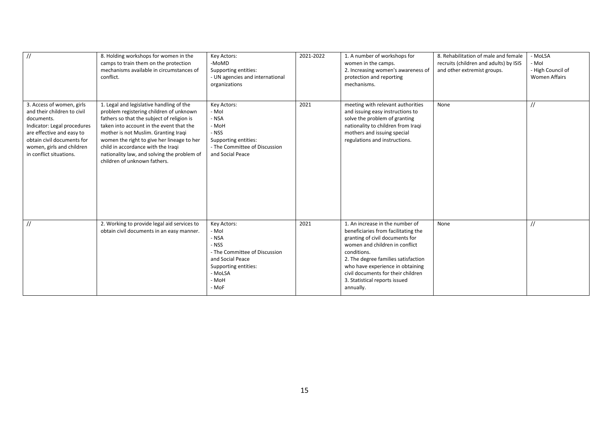| $\frac{1}{2}$                                                                                                                                                                                                            | 8. Holding workshops for women in the<br>camps to train them on the protection<br>mechanisms available in circumstances of<br>conflict.                                                                                                                                                                                                                                                  | Key Actors:<br>-MoMD<br>Supporting entities:<br>- UN agencies and international<br>organizations                                                 | 2021-2022 | 1. A number of workshops for<br>women in the camps.<br>2. Increasing women's awareness of<br>protection and reporting<br>mechanisms.                                                                                                                                                                                      | 8. Rehabilitation of male and female<br>recruits (children and adults) by ISIS<br>and other extremist groups. | - MoLSA<br>- Mol<br>- High Council of<br><b>Women Affairs</b> |
|--------------------------------------------------------------------------------------------------------------------------------------------------------------------------------------------------------------------------|------------------------------------------------------------------------------------------------------------------------------------------------------------------------------------------------------------------------------------------------------------------------------------------------------------------------------------------------------------------------------------------|--------------------------------------------------------------------------------------------------------------------------------------------------|-----------|---------------------------------------------------------------------------------------------------------------------------------------------------------------------------------------------------------------------------------------------------------------------------------------------------------------------------|---------------------------------------------------------------------------------------------------------------|---------------------------------------------------------------|
| 3. Access of women, girls<br>and their children to civil<br>documents.<br>Indicator: Legal procedures<br>are effective and easy to<br>obtain civil documents for<br>women, girls and children<br>in conflict situations. | 1. Legal and legislative handling of the<br>problem registering children of unknown<br>fathers so that the subject of religion is<br>taken into account in the event that the<br>mother is not Muslim. Granting Iragi<br>women the right to give her lineage to her<br>child in accordance with the Iraqi<br>nationality law, and solving the problem of<br>children of unknown fathers. | Key Actors:<br>- Mol<br>- NSA<br>- MoH<br>- NSS<br>Supporting entities:<br>- The Committee of Discussion<br>and Social Peace                     | 2021      | meeting with relevant authorities<br>and issuing easy instructions to<br>solve the problem of granting<br>nationality to children from Iraqi<br>mothers and issuing special<br>regulations and instructions.                                                                                                              | None                                                                                                          | $\prime\prime$                                                |
| $\frac{1}{2}$                                                                                                                                                                                                            | 2. Working to provide legal aid services to<br>obtain civil documents in an easy manner.                                                                                                                                                                                                                                                                                                 | Key Actors:<br>- Mol<br>- NSA<br>- NSS<br>- The Committee of Discussion<br>and Social Peace<br>Supporting entities:<br>- MoLSA<br>- MoH<br>- MoF | 2021      | 1. An increase in the number of<br>beneficiaries from facilitating the<br>granting of civil documents for<br>women and children in conflict<br>conditions.<br>2. The degree families satisfaction<br>who have experience in obtaining<br>civil documents for their children<br>3. Statistical reports issued<br>annually. | None                                                                                                          | $\frac{1}{2}$                                                 |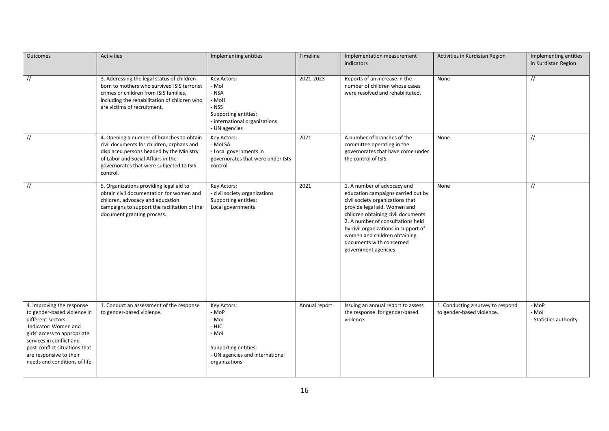| Outcomes                                                                                                                                                                                                                                                       | <b>Activities</b>                                                                                                                                                                                                                | Implementing entities                                                                                                       | Timeline      | Implementation measurement<br>indicators                                                                                                                                                                                                                                                                                                    | Activities in Kurdistan Region                                 | Implementing entities<br>in Kurdistan Region |
|----------------------------------------------------------------------------------------------------------------------------------------------------------------------------------------------------------------------------------------------------------------|----------------------------------------------------------------------------------------------------------------------------------------------------------------------------------------------------------------------------------|-----------------------------------------------------------------------------------------------------------------------------|---------------|---------------------------------------------------------------------------------------------------------------------------------------------------------------------------------------------------------------------------------------------------------------------------------------------------------------------------------------------|----------------------------------------------------------------|----------------------------------------------|
| $\frac{1}{2}$                                                                                                                                                                                                                                                  | 3. Addressing the legal status of children<br>born to mothers who survived ISIS terrorist<br>crimes or children from ISIS families,<br>including the rehabilitation of children who<br>are victims of recruitment.               | Key Actors:<br>- Mol<br>- NSA<br>- MoH<br>- NSS<br>Supporting entities:<br>- international organizations<br>- UN agencies   | 2021-2023     | Reports of an increase in the<br>number of children whose cases<br>were resolved and rehabilitated.                                                                                                                                                                                                                                         | None                                                           | $\frac{1}{2}$                                |
| $\overline{11}$                                                                                                                                                                                                                                                | 4. Opening a number of branches to obtain<br>civil documents for children, orphans and<br>displaced persons headed by the Ministry<br>of Labor and Social Affairs in the<br>governorates that were subjected to ISIS<br>control. | Key Actors:<br>- MoLSA<br>- Local governments in<br>governorates that were under ISIS<br>control.                           | 2021          | A number of branches of the<br>committee operating in the<br>governorates that have come under<br>the control of ISIS.                                                                                                                                                                                                                      | None                                                           | $\frac{1}{2}$                                |
| $\frac{1}{2}$                                                                                                                                                                                                                                                  | 5. Organizations providing legal aid to<br>obtain civil documentation for women and<br>children, advocacy and education<br>campaigns to support the facilitation of the<br>document granting process.                            | Key Actors:<br>- civil society organizations<br>Supporting entities:<br>Local governments                                   | 2021          | 1. A number of advocacy and<br>education campaigns carried out by<br>civil society organizations that<br>provide legal aid. Women and<br>children obtaining civil documents<br>2. A number of consultations held<br>by civil organizations in support of<br>women and children obtaining<br>documents with concerned<br>government agencies | None                                                           | $\frac{1}{2}$                                |
| 4. Improving the response<br>to gender-based violence in<br>different sectors.<br>Indicator: Women and<br>girls' access to appropriate<br>services in conflict and<br>post-conflict situations that<br>are responsive to their<br>needs and conditions of life | 1. Conduct an assessment of the response<br>to gender-based violence.                                                                                                                                                            | Key Actors:<br>- MoP<br>- MoJ<br>- HJC<br>- Mol<br>Supporting entities:<br>- UN agencies and international<br>organizations | Annual report | Issuing an annual report to assess<br>the response for gender-based<br>violence.                                                                                                                                                                                                                                                            | 1. Conducting a survey to respond<br>to gender-based violence. | - MoP<br>- MoJ<br>- Statistics authority     |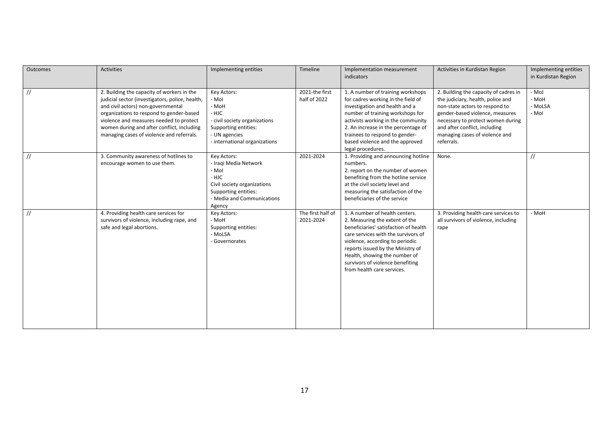| <b>Outcomes</b> | <b>Activities</b>                                                                                                                                                                                                                                                                                                     | Implementing entities                                                                                                                                 | Timeline                       | Implementation measurement<br>indicators                                                                                                                                                                                                                                                                                    | Activities in Kurdistan Region                                                                                                                                                                                                                                        | Implementing entities<br>in Kurdistan Region |
|-----------------|-----------------------------------------------------------------------------------------------------------------------------------------------------------------------------------------------------------------------------------------------------------------------------------------------------------------------|-------------------------------------------------------------------------------------------------------------------------------------------------------|--------------------------------|-----------------------------------------------------------------------------------------------------------------------------------------------------------------------------------------------------------------------------------------------------------------------------------------------------------------------------|-----------------------------------------------------------------------------------------------------------------------------------------------------------------------------------------------------------------------------------------------------------------------|----------------------------------------------|
| $\frac{1}{2}$   | 2. Building the capacity of workers in the<br>judicial sector (investigators, police, health,<br>and civil actors) non-governmental<br>organizations to respond to gender-based<br>violence and measures needed to protect<br>women during and after conflict, including<br>managing cases of violence and referrals. | Key Actors:<br>- Mol<br>- MoH<br>- HJC<br>- civil society organizations<br>Supporting entities:<br>- UN agencies<br>- international organizations     | 2021-the first<br>half of 2022 | 1. A number of training workshops<br>for cadres working in the field of<br>investigation and health and a<br>number of training workshops for<br>activists working in the community<br>2. An increase in the percentage of<br>trainees to respond to gender-<br>based violence and the approved<br>legal procedures.        | 2. Building the capacity of cadres in<br>the judiciary, health, police and<br>non-state actors to respond to<br>gender-based violence, measures<br>necessary to protect women during<br>and after conflict, including<br>managing cases of violence and<br>referrals. | - MoJ<br>- MoH<br>- MoLSA<br>- Mol           |
| $\frac{1}{2}$   | 3. Community awareness of hotlines to<br>encourage women to use them.                                                                                                                                                                                                                                                 | Key Actors:<br>- Iraqi Media Network<br>- Mol<br>- HJC<br>Civil society organizations<br>Supporting entities:<br>- Media and Communications<br>Agency | 2021-2024                      | 1. Providing and announcing hotline<br>numbers.<br>2. report on the number of women<br>benefiting from the hotline service<br>at the civil society level and<br>measuring the satisfaction of the<br>beneficiaries of the service                                                                                           | None.                                                                                                                                                                                                                                                                 | //                                           |
| $\prime\prime$  | 4. Providing health care services for<br>survivors of violence, including rape, and<br>safe and legal abortions.                                                                                                                                                                                                      | Key Actors:<br>- MoH<br>Supporting entities:<br>- MoLSA<br>- Governorates                                                                             | The first half of<br>2021-2024 | 1. A number of health centers.<br>2. Measuring the extent of the<br>beneficiaries' satisfaction of health<br>care services with the survivors of<br>violence, according to periodic<br>reports issued by the Ministry of<br>Health, showing the number of<br>survivors of violence benefiting<br>from health care services. | 3. Providing health care services to<br>all survivors of violence, including<br>rape                                                                                                                                                                                  | - MoH                                        |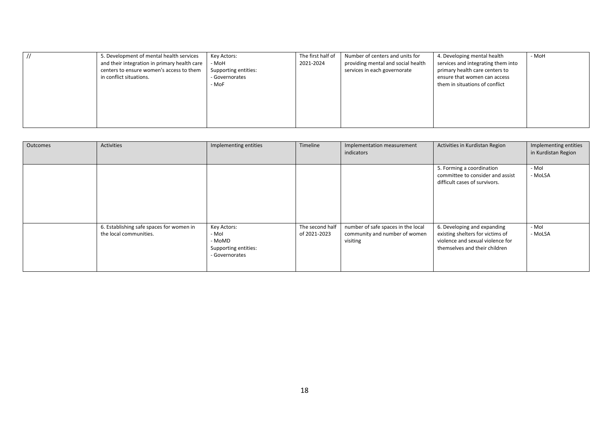| 5. Development of mental health services<br>Key Actors:<br>and their integration in primary health care<br>- MoH<br>centers to ensure women's access to them<br>Supporting entities:<br>in conflict situations.<br>- Governorates<br>- MoF | The first half of<br>Number of centers and units for<br>providing mental and social health<br>2021-2024<br>services in each governorate | 4. Developing mental health<br>- MoH<br>services and integrating them into<br>primary health care centers to<br>ensure that women can access<br>them in situations of conflict |  |
|--------------------------------------------------------------------------------------------------------------------------------------------------------------------------------------------------------------------------------------------|-----------------------------------------------------------------------------------------------------------------------------------------|--------------------------------------------------------------------------------------------------------------------------------------------------------------------------------|--|
|--------------------------------------------------------------------------------------------------------------------------------------------------------------------------------------------------------------------------------------------|-----------------------------------------------------------------------------------------------------------------------------------------|--------------------------------------------------------------------------------------------------------------------------------------------------------------------------------|--|

| Outcomes | Activities                                                         | Implementing entities                                                    | Timeline                        | Implementation measurement<br>indicators                                        | Activities in Kurdistan Region                                                                                                       | Implementing entities<br>in Kurdistan Region |
|----------|--------------------------------------------------------------------|--------------------------------------------------------------------------|---------------------------------|---------------------------------------------------------------------------------|--------------------------------------------------------------------------------------------------------------------------------------|----------------------------------------------|
|          |                                                                    |                                                                          |                                 |                                                                                 | 5. Forming a coordination<br>committee to consider and assist<br>difficult cases of survivors.                                       | - Mol<br>- MoLSA                             |
|          | 6. Establishing safe spaces for women in<br>the local communities. | Key Actors:<br>- Mol<br>- MoMD<br>Supporting entities:<br>- Governorates | The second half<br>of 2021-2023 | number of safe spaces in the local<br>community and number of women<br>visiting | 6. Developing and expanding<br>existing shelters for victims of<br>violence and sexual violence for<br>themselves and their children | - Mol<br>- MoLSA                             |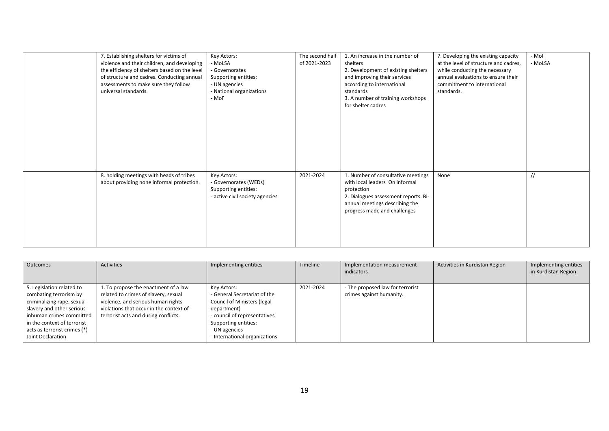| 7. Establishing shelters for victims of<br>violence and their children, and developing<br>the efficiency of shelters based on the level<br>of structure and cadres. Conducting annual<br>assessments to make sure they follow<br>universal standards. | Key Actors:<br>- MoLSA<br>- Governorates<br>Supporting entities:<br>- UN agencies<br>- National organizations<br>- MoF | The second half<br>of 2021-2023 | 1. An increase in the number of<br>shelters<br>2. Development of existing shelters<br>and improving their services<br>according to international<br>standards<br>3. A number of training workshops<br>for shelter cadres | 7. Developing the existing capacity<br>at the level of structure and cadres,<br>while conducting the necessary<br>annual evaluations to ensure their<br>commitment to international<br>standards. | - Mol<br>- MoLSA |
|-------------------------------------------------------------------------------------------------------------------------------------------------------------------------------------------------------------------------------------------------------|------------------------------------------------------------------------------------------------------------------------|---------------------------------|--------------------------------------------------------------------------------------------------------------------------------------------------------------------------------------------------------------------------|---------------------------------------------------------------------------------------------------------------------------------------------------------------------------------------------------|------------------|
| 8. holding meetings with heads of tribes<br>about providing none informal protection.                                                                                                                                                                 | Key Actors:<br>- Governorates (WEDs)<br>Supporting entities:<br>- active civil society agencies                        | 2021-2024                       | 1. Number of consultative meetings<br>with local leaders On informal<br>protection<br>2. Dialogues assessment reports. Bi-<br>annual meetings describing the<br>progress made and challenges                             | None                                                                                                                                                                                              | $\frac{1}{2}$    |

| <b>Outcomes</b>                                                                                                                                                                                                                | Activities                                                                                                                                                                                            | Implementing entities                                                                                                                                                                                      | Timeline  | Implementation measurement<br>indicators                     | Activities in Kurdistan Region | Implementing entities<br>in Kurdistan Region |
|--------------------------------------------------------------------------------------------------------------------------------------------------------------------------------------------------------------------------------|-------------------------------------------------------------------------------------------------------------------------------------------------------------------------------------------------------|------------------------------------------------------------------------------------------------------------------------------------------------------------------------------------------------------------|-----------|--------------------------------------------------------------|--------------------------------|----------------------------------------------|
| 5. Legislation related to<br>combating terrorism by<br>criminalizing rape, sexual<br>slavery and other serious<br>inhuman crimes committed<br>in the context of terrorist<br>acts as terrorist crimes (*)<br>Joint Declaration | 1. To propose the enactment of a law<br>related to crimes of slavery, sexual<br>violence, and serious human rights<br>violations that occur in the context of<br>terrorist acts and during conflicts. | Key Actors:<br>- General Secretariat of the<br><b>Council of Ministers (legal</b><br>department)<br>- council of representatives<br>Supporting entities:<br>- UN agencies<br>- International organizations | 2021-2024 | - The proposed law for terrorist<br>crimes against humanity. |                                |                                              |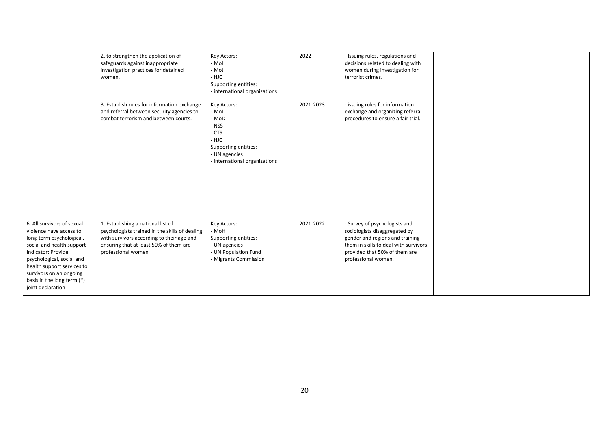|                                                                                                                                                                                                                                                                               | 2. to strengthen the application of<br>safeguards against inappropriate<br>investigation practices for detained<br>women.                                                                         | Key Actors:<br>- Mol<br>- MoJ<br>- HJC<br>Supporting entities:<br>- international organizations                                    | 2022      | - Issuing rules, regulations and<br>decisions related to dealing with<br>women during investigation for<br>terrorist crimes.                                                                        |  |
|-------------------------------------------------------------------------------------------------------------------------------------------------------------------------------------------------------------------------------------------------------------------------------|---------------------------------------------------------------------------------------------------------------------------------------------------------------------------------------------------|------------------------------------------------------------------------------------------------------------------------------------|-----------|-----------------------------------------------------------------------------------------------------------------------------------------------------------------------------------------------------|--|
|                                                                                                                                                                                                                                                                               | 3. Establish rules for information exchange<br>and referral between security agencies to<br>combat terrorism and between courts.                                                                  | Key Actors:<br>- Mol<br>- MoD<br>- NSS<br>- CTS<br>- HJC<br>Supporting entities:<br>- UN agencies<br>- international organizations | 2021-2023 | - issuing rules for information<br>exchange and organizing referral<br>procedures to ensure a fair trial.                                                                                           |  |
| 6. All survivors of sexual<br>violence have access to<br>long-term psychological,<br>social and health support<br>Indicator: Provide<br>psychological, social and<br>health support services to<br>survivors on an ongoing<br>basis in the long term (*)<br>joint declaration | 1. Establishing a national list of<br>psychologists trained in the skills of dealing<br>with survivors according to their age and<br>ensuring that at least 50% of them are<br>professional women | Key Actors:<br>- MoH<br>Supporting entities:<br>- UN agencies<br>- UN Population Fund<br>- Migrants Commission                     | 2021-2022 | - Survey of psychologists and<br>sociologists disaggregated by<br>gender and regions and training<br>them in skills to deal with survivors,<br>provided that 50% of them are<br>professional women. |  |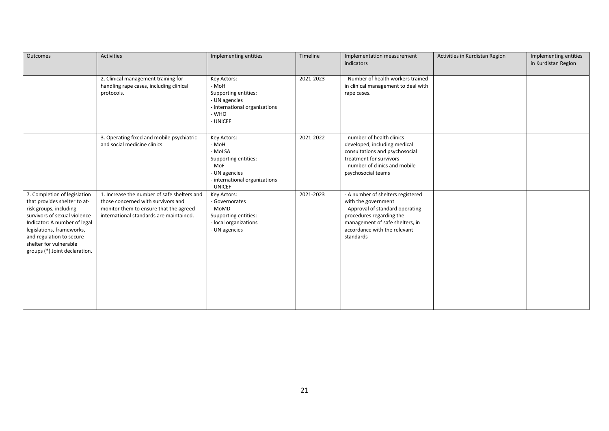| Outcomes                                                                                                                                                                                                                                                                   | <b>Activities</b>                                                                                                                                                      | Implementing entities                                                                                                          | Timeline  | Implementation measurement<br>indicators                                                                                                                                                                 | Activities in Kurdistan Region | Implementing entities<br>in Kurdistan Region |
|----------------------------------------------------------------------------------------------------------------------------------------------------------------------------------------------------------------------------------------------------------------------------|------------------------------------------------------------------------------------------------------------------------------------------------------------------------|--------------------------------------------------------------------------------------------------------------------------------|-----------|----------------------------------------------------------------------------------------------------------------------------------------------------------------------------------------------------------|--------------------------------|----------------------------------------------|
|                                                                                                                                                                                                                                                                            | 2. Clinical management training for<br>handling rape cases, including clinical<br>protocols.                                                                           | Key Actors:<br>- MoH<br>Supporting entities:<br>- UN agencies<br>- international organizations<br>- WHO<br>- UNICEF            | 2021-2023 | - Number of health workers trained<br>in clinical management to deal with<br>rape cases.                                                                                                                 |                                |                                              |
|                                                                                                                                                                                                                                                                            | 3. Operating fixed and mobile psychiatric<br>and social medicine clinics                                                                                               | Key Actors:<br>- MoH<br>- MoLSA<br>Supporting entities:<br>- MoF<br>- UN agencies<br>- international organizations<br>- UNICEF | 2021-2022 | - number of health clinics<br>developed, including medical<br>consultations and psychosocial<br>treatment for survivors<br>- number of clinics and mobile<br>psychosocial teams                          |                                |                                              |
| 7. Completion of legislation<br>that provides shelter to at-<br>risk groups, including<br>survivors of sexual violence<br>Indicator: A number of legal<br>legislations, frameworks,<br>and regulation to secure<br>shelter for vulnerable<br>groups (*) Joint declaration. | 1. Increase the number of safe shelters and<br>those concerned with survivors and<br>monitor them to ensure that the agreed<br>international standards are maintained. | Key Actors:<br>- Governorates<br>- MoMD<br>Supporting entities:<br>- local organizations<br>- UN agencies                      | 2021-2023 | - A number of shelters registered<br>with the government<br>- Approval of standard operating<br>procedures regarding the<br>management of safe shelters, in<br>accordance with the relevant<br>standards |                                |                                              |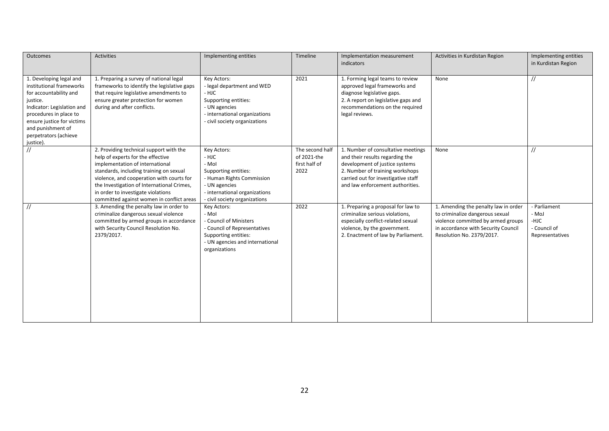| Outcomes                                                                                                                                                                                                                                   | <b>Activities</b>                                                                                                                                                                                                                                                                                                                        | Implementing entities                                                                                                                                                 | Timeline                                                | Implementation measurement<br>indicators                                                                                                                                                                              | Activities in Kurdistan Region                                                                                                                                                    | Implementing entities<br>in Kurdistan Region                     |
|--------------------------------------------------------------------------------------------------------------------------------------------------------------------------------------------------------------------------------------------|------------------------------------------------------------------------------------------------------------------------------------------------------------------------------------------------------------------------------------------------------------------------------------------------------------------------------------------|-----------------------------------------------------------------------------------------------------------------------------------------------------------------------|---------------------------------------------------------|-----------------------------------------------------------------------------------------------------------------------------------------------------------------------------------------------------------------------|-----------------------------------------------------------------------------------------------------------------------------------------------------------------------------------|------------------------------------------------------------------|
| 1. Developing legal and<br>institutional frameworks<br>for accountability and<br>justice.<br>Indicator: Legislation and<br>procedures in place to<br>ensure justice for victims<br>and punishment of<br>perpetrators (achieve<br>justice). | 1. Preparing a survey of national legal<br>frameworks to identify the legislative gaps<br>that require legislative amendments to<br>ensure greater protection for women<br>during and after conflicts.                                                                                                                                   | Key Actors:<br>- legal department and WED<br>- HJC<br>Supporting entities:<br>- UN agencies<br>- international organizations<br>- civil society organizations         | 2021                                                    | 1. Forming legal teams to review<br>approved legal frameworks and<br>diagnose legislative gaps.<br>2. A report on legislative gaps and<br>recommendations on the required<br>legal reviews.                           | None                                                                                                                                                                              | $\frac{1}{2}$                                                    |
| $\frac{1}{2}$                                                                                                                                                                                                                              | 2. Providing technical support with the<br>help of experts for the effective<br>implementation of international<br>standards, including training on sexual<br>violence, and cooperation with courts for<br>the Investigation of International Crimes,<br>in order to investigate violations<br>committed against women in conflict areas | Key Actors:<br>- HJC<br>- Mol<br>Supporting entities:<br>- Human Rights Commission<br>- UN agencies<br>- international organizations<br>- civil society organizations | The second half<br>of 2021-the<br>first half of<br>2022 | 1. Number of consultative meetings<br>and their results regarding the<br>development of justice systems<br>2. Number of training workshops<br>carried out for investigative staff<br>and law enforcement authorities. | None                                                                                                                                                                              | $\frac{1}{2}$                                                    |
| $\frac{1}{2}$                                                                                                                                                                                                                              | 3. Amending the penalty law in order to<br>criminalize dangerous sexual violence<br>committed by armed groups in accordance<br>with Security Council Resolution No.<br>2379/2017.                                                                                                                                                        | Key Actors:<br>- Mol<br>- Council of Ministers<br>- Council of Representatives<br>Supporting entities:<br>- UN agencies and international<br>organizations            | 2022                                                    | 1. Preparing a proposal for law to<br>criminalize serious violations,<br>especially conflict-related sexual<br>violence, by the government.<br>2. Enactment of law by Parliament.                                     | 1. Amending the penalty law in order<br>to criminalize dangerous sexual<br>violence committed by armed groups<br>in accordance with Security Council<br>Resolution No. 2379/2017. | - Parliament<br>- MoJ<br>-HJC<br>- Council of<br>Representatives |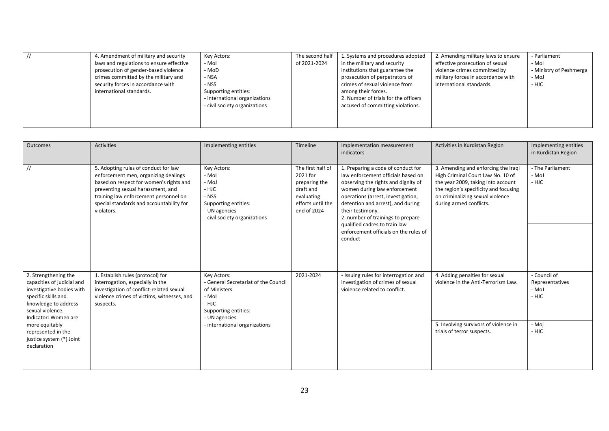| 4. Amendment of military and security<br>laws and regulations to ensure effective<br>prosecution of gender-based violence<br>crimes committed by the military and<br>security forces in accordance with<br>international standards. | Key Actors:<br>- Mol<br>- MoD<br>- NSA<br>- NSS<br>Supporting entities:<br>international organizations<br>- civil society organizations | The second half<br>of 2021-2024 | . Systems and procedures adopted<br>in the military and security<br>institutions that guarantee the<br>prosecution of perpetrators of<br>crimes of sexual violence from<br>among their forces.<br>2. Number of trials for the officers<br>accused of committing violations. | 2. Amending military laws to ensure<br>effective prosecution of sexual<br>violence crimes committed by<br>military forces in accordance with<br>international standards. | - Parliament<br>- Mol<br>- Ministry of Peshmerga<br>- MoJ<br>- HJC |
|-------------------------------------------------------------------------------------------------------------------------------------------------------------------------------------------------------------------------------------|-----------------------------------------------------------------------------------------------------------------------------------------|---------------------------------|-----------------------------------------------------------------------------------------------------------------------------------------------------------------------------------------------------------------------------------------------------------------------------|--------------------------------------------------------------------------------------------------------------------------------------------------------------------------|--------------------------------------------------------------------|
|                                                                                                                                                                                                                                     |                                                                                                                                         |                                 |                                                                                                                                                                                                                                                                             |                                                                                                                                                                          |                                                                    |

| Outcomes                                                                                                                                                                                                                                                      | Activities                                                                                                                                                                                                                                                      | Implementing entities                                                                                                                                           | Timeline                                                                                                      | Implementation measurement<br>indicators                                                                                                                                                                                                                                                                                                                                 | Activities in Kurdistan Region                                                                                                                                                                                         | Implementing entities<br>in Kurdistan Region                        |
|---------------------------------------------------------------------------------------------------------------------------------------------------------------------------------------------------------------------------------------------------------------|-----------------------------------------------------------------------------------------------------------------------------------------------------------------------------------------------------------------------------------------------------------------|-----------------------------------------------------------------------------------------------------------------------------------------------------------------|---------------------------------------------------------------------------------------------------------------|--------------------------------------------------------------------------------------------------------------------------------------------------------------------------------------------------------------------------------------------------------------------------------------------------------------------------------------------------------------------------|------------------------------------------------------------------------------------------------------------------------------------------------------------------------------------------------------------------------|---------------------------------------------------------------------|
|                                                                                                                                                                                                                                                               | 5. Adopting rules of conduct for law<br>enforcement men, organizing dealings<br>based on respect for women's rights and<br>preventing sexual harassment, and<br>training law enforcement personnel on<br>special standards and accountability for<br>violators. | Key Actors:<br>- Mol<br>- MoJ<br>- HJC<br>- NSS<br>Supporting entities:<br>- UN agencies<br>- civil society organizations                                       | The first half of<br>2021 for<br>preparing the<br>draft and<br>evaluating<br>efforts until the<br>end of 2024 | 1. Preparing a code of conduct for<br>law enforcement officials based on<br>observing the rights and dignity of<br>women during law enforcement<br>operations (arrest, investigation,<br>detention and arrest), and during<br>their testimony.<br>2. number of trainings to prepare<br>qualified cadres to train law<br>enforcement officials on the rules of<br>conduct | 3. Amending and enforcing the Iraqi<br>High Criminal Court Law No. 10 of<br>the year 2009, taking into account<br>the region's specificity and focusing<br>on criminalizing sexual violence<br>during armed conflicts. | - The Parliament<br>- MoJ<br>- HJC                                  |
| 2. Strengthening the<br>capacities of judicial and<br>investigative bodies with<br>specific skills and<br>knowledge to address<br>sexual violence.<br>Indicator: Women are<br>more equitably<br>represented in the<br>justice system (*) Joint<br>declaration | 1. Establish rules (protocol) for<br>interrogation, especially in the<br>investigation of conflict-related sexual<br>violence crimes of victims, witnesses, and<br>suspects.                                                                                    | Key Actors:<br>- General Secretariat of the Council<br>of Ministers<br>- Mol<br>- HJC<br>Supporting entities:<br>- UN agencies<br>- international organizations | 2021-2024                                                                                                     | - Issuing rules for interrogation and<br>investigation of crimes of sexual<br>violence related to conflict.                                                                                                                                                                                                                                                              | 4. Adding penalties for sexual<br>violence in the Anti-Terrorism Law.<br>5. Involving survivors of violence in<br>trials of terror suspects.                                                                           | - Council of<br>Representatives<br>- MoJ<br>- HJC<br>- Moj<br>- HJC |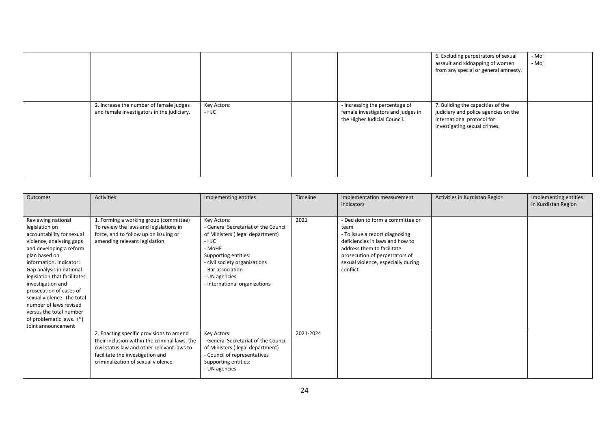|                                                                                       |                      |                                                                                                      | 6. Excluding perpetrators of sexual<br>assault and kidnapping of women<br>from any special or general amnesty.                          | - Mol<br>- Moj |
|---------------------------------------------------------------------------------------|----------------------|------------------------------------------------------------------------------------------------------|-----------------------------------------------------------------------------------------------------------------------------------------|----------------|
| 2. Increase the number of female judges<br>and female investigators in the judiciary. | Key Actors:<br>- HJC | - Increasing the percentage of<br>female investigators and judges in<br>the Higher Judicial Council. | 7. Building the capacities of the<br>judiciary and police agencies on the<br>international protocol for<br>investigating sexual crimes. |                |

| Outcomes                                                                                                                                                                                                                                                                         | Activities                                                                                                                                                                                                          | Implementing entities                                                                                                                                                                                                                     | Timeline  | Implementation measurement<br>indicators                                                                                                                                                                                         | Activities in Kurdistan Region | Implementing entities<br>in Kurdistan Region |
|----------------------------------------------------------------------------------------------------------------------------------------------------------------------------------------------------------------------------------------------------------------------------------|---------------------------------------------------------------------------------------------------------------------------------------------------------------------------------------------------------------------|-------------------------------------------------------------------------------------------------------------------------------------------------------------------------------------------------------------------------------------------|-----------|----------------------------------------------------------------------------------------------------------------------------------------------------------------------------------------------------------------------------------|--------------------------------|----------------------------------------------|
| Reviewing national<br>legislation on<br>accountability for sexual<br>violence, analyzing gaps<br>and developing a reform<br>plan based on<br>information. Indicator:<br>Gap analysis in national<br>legislation that facilitates<br>investigation and<br>prosecution of cases of | 1. Forming a working group (committee)<br>To review the laws and legislations in<br>force, and to follow up on issuing or<br>amending relevant legislation                                                          | Key Actors:<br>- General Secretariat of the Council<br>of Ministers (legal department)<br>- HJC<br>- MoHE<br>Supporting entities:<br>- civil society organizations<br>- Bar association<br>- UN agencies<br>- international organizations | 2021      | - Decision to form a committee or<br>team<br>- To issue a report diagnosing<br>deficiencies in laws and how to<br>address them to facilitate<br>prosecution of perpetrators of<br>sexual violence, especially during<br>conflict |                                |                                              |
| sexual violence. The total<br>number of laws revised<br>versus the total number<br>of problematic laws. (*)<br>Joint announcement                                                                                                                                                |                                                                                                                                                                                                                     |                                                                                                                                                                                                                                           |           |                                                                                                                                                                                                                                  |                                |                                              |
|                                                                                                                                                                                                                                                                                  | 2. Enacting specific provisions to amend<br>their inclusion within the criminal laws, the<br>civil status law and other relevant laws to<br>facilitate the investigation and<br>criminalization of sexual violence. | Key Actors:<br>- General Secretariat of the Council<br>of Ministers (legal department)<br>- Council of representatives<br>Supporting entities:<br>- UN agencies                                                                           | 2021-2024 |                                                                                                                                                                                                                                  |                                |                                              |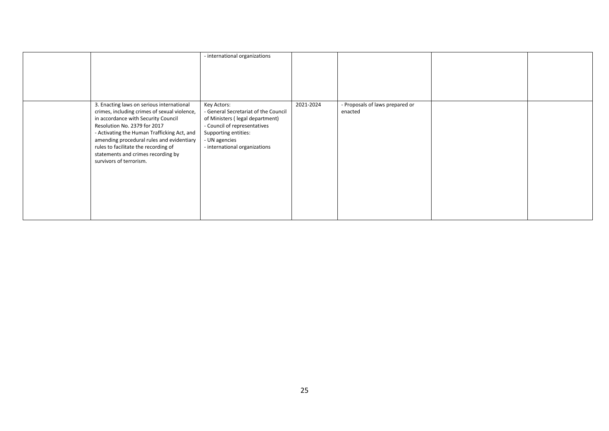|                                                                                                                                                                                                                                                                                                                                                                       | - international organizations                                                                                                                                                                    |           |                                            |  |
|-----------------------------------------------------------------------------------------------------------------------------------------------------------------------------------------------------------------------------------------------------------------------------------------------------------------------------------------------------------------------|--------------------------------------------------------------------------------------------------------------------------------------------------------------------------------------------------|-----------|--------------------------------------------|--|
| 3. Enacting laws on serious international<br>crimes, including crimes of sexual violence,<br>in accordance with Security Council<br>Resolution No. 2379 for 2017<br>- Activating the Human Trafficking Act, and<br>amending procedural rules and evidentiary<br>rules to facilitate the recording of<br>statements and crimes recording by<br>survivors of terrorism. | Key Actors:<br>- General Secretariat of the Council<br>of Ministers (legal department)<br>- Council of representatives<br>Supporting entities:<br>- UN agencies<br>- international organizations | 2021-2024 | - Proposals of laws prepared or<br>enacted |  |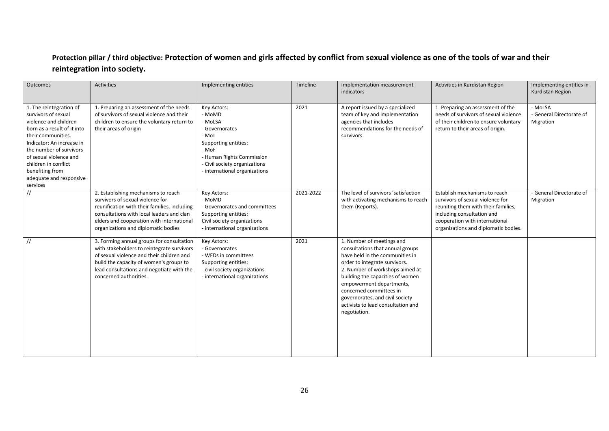## **Protection pillar / third objective: Protection of women and girls affected by conflict from sexual violence as one of the tools of war and their reintegration into society.**

| Outcomes                                                                                                                                                                                                                                                                                         | <b>Activities</b>                                                                                                                                                                                                                                        | Implementing entities                                                                                                                                                                       | Timeline  | Implementation measurement<br>indicators                                                                                                                                                                                                                                                                                                                 | Activities in Kurdistan Region                                                                                                                                                                                   | Implementing entities in<br>Kurdistan Region     |
|--------------------------------------------------------------------------------------------------------------------------------------------------------------------------------------------------------------------------------------------------------------------------------------------------|----------------------------------------------------------------------------------------------------------------------------------------------------------------------------------------------------------------------------------------------------------|---------------------------------------------------------------------------------------------------------------------------------------------------------------------------------------------|-----------|----------------------------------------------------------------------------------------------------------------------------------------------------------------------------------------------------------------------------------------------------------------------------------------------------------------------------------------------------------|------------------------------------------------------------------------------------------------------------------------------------------------------------------------------------------------------------------|--------------------------------------------------|
| 1. The reintegration of<br>survivors of sexual<br>violence and children<br>born as a result of it into<br>their communities.<br>Indicator: An increase in<br>the number of survivors<br>of sexual violence and<br>children in conflict<br>benefiting from<br>adequate and responsive<br>services | 1. Preparing an assessment of the needs<br>of survivors of sexual violence and their<br>children to ensure the voluntary return to<br>their areas of origin                                                                                              | Key Actors:<br>- MoMD<br>- MoLSA<br>- Governorates<br>- MoJ<br>Supporting entities:<br>- MoF<br>- Human Rights Commission<br>- Civil society organizations<br>- international organizations | 2021      | A report issued by a specialized<br>team of key and implementation<br>agencies that includes<br>recommendations for the needs of<br>survivors.                                                                                                                                                                                                           | 1. Preparing an assessment of the<br>needs of survivors of sexual violence<br>of their children to ensure voluntary<br>return to their areas of origin.                                                          | - MoLSA<br>- General Directorate of<br>Migration |
| $\frac{1}{2}$                                                                                                                                                                                                                                                                                    | 2. Establishing mechanisms to reach<br>survivors of sexual violence for<br>reunification with their families, including<br>consultations with local leaders and clan<br>elders and cooperation with international<br>organizations and diplomatic bodies | Key Actors:<br>- MoMD<br>- Governorates and committees<br>Supporting entities:<br>Civil society organizations<br>- international organizations                                              | 2021-2022 | The level of survivors 'satisfaction<br>with activating mechanisms to reach<br>them (Reports).                                                                                                                                                                                                                                                           | Establish mechanisms to reach<br>survivors of sexual violence for<br>reuniting them with their families,<br>including consultation and<br>cooperation with international<br>organizations and diplomatic bodies. | - General Directorate of<br>Migration            |
| $\frac{1}{2}$                                                                                                                                                                                                                                                                                    | 3. Forming annual groups for consultation<br>with stakeholders to reintegrate survivors<br>of sexual violence and their children and<br>build the capacity of women's groups to<br>lead consultations and negotiate with the<br>concerned authorities.   | Key Actors:<br>- Governorates<br>- WEDs in committees<br>Supporting entities:<br>- civil society organizations<br>- international organizations                                             | 2021      | 1. Number of meetings and<br>consultations that annual groups<br>have held in the communities in<br>order to integrate survivors.<br>2. Number of workshops aimed at<br>building the capacities of women<br>empowerment departments,<br>concerned committees in<br>governorates, and civil society<br>activists to lead consultation and<br>negotiation. |                                                                                                                                                                                                                  |                                                  |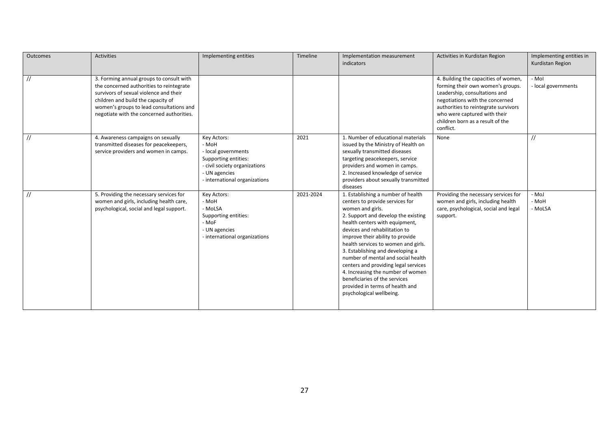| Outcomes      | Activities                                                                                                                                                                                                                                                    | Implementing entities                                                                                                                                  | Timeline  | Implementation measurement<br>indicators                                                                                                                                                                                                                                                                                                                                                                                                                                                                                              | Activities in Kurdistan Region                                                                                                                                                                                                                                         | Implementing entities in<br>Kurdistan Region |
|---------------|---------------------------------------------------------------------------------------------------------------------------------------------------------------------------------------------------------------------------------------------------------------|--------------------------------------------------------------------------------------------------------------------------------------------------------|-----------|---------------------------------------------------------------------------------------------------------------------------------------------------------------------------------------------------------------------------------------------------------------------------------------------------------------------------------------------------------------------------------------------------------------------------------------------------------------------------------------------------------------------------------------|------------------------------------------------------------------------------------------------------------------------------------------------------------------------------------------------------------------------------------------------------------------------|----------------------------------------------|
| $\frac{1}{2}$ | 3. Forming annual groups to consult with<br>the concerned authorities to reintegrate<br>survivors of sexual violence and their<br>children and build the capacity of<br>women's groups to lead consultations and<br>negotiate with the concerned authorities. |                                                                                                                                                        |           |                                                                                                                                                                                                                                                                                                                                                                                                                                                                                                                                       | 4. Building the capacities of women,<br>forming their own women's groups.<br>Leadership, consultations and<br>negotiations with the concerned<br>authorities to reintegrate survivors<br>who were captured with their<br>children born as a result of the<br>conflict. | - Mol<br>- local governments                 |
| $\frac{1}{2}$ | 4. Awareness campaigns on sexually<br>transmitted diseases for peacekeepers,<br>service providers and women in camps.                                                                                                                                         | Key Actors:<br>- MoH<br>- local governments<br>Supporting entities:<br>- civil society organizations<br>- UN agencies<br>- international organizations | 2021      | 1. Number of educational materials<br>issued by the Ministry of Health on<br>sexually transmitted diseases<br>targeting peacekeepers, service<br>providers and women in camps.<br>2. Increased knowledge of service<br>providers about sexually transmitted<br>diseases                                                                                                                                                                                                                                                               | None                                                                                                                                                                                                                                                                   | $\frac{1}{2}$                                |
| $\frac{1}{2}$ | 5. Providing the necessary services for<br>women and girls, including health care,<br>psychological, social and legal support.                                                                                                                                | Key Actors:<br>- MoH<br>- MoLSA<br>Supporting entities:<br>- MoF<br>- UN agencies<br>- international organizations                                     | 2021-2024 | 1. Establishing a number of health<br>centers to provide services for<br>women and girls.<br>2. Support and develop the existing<br>health centers with equipment,<br>devices and rehabilitation to<br>improve their ability to provide<br>health services to women and girls.<br>3. Establishing and developing a<br>number of mental and social health<br>centers and providing legal services<br>4. Increasing the number of women<br>beneficiaries of the services<br>provided in terms of health and<br>psychological wellbeing. | Providing the necessary services for<br>women and girls, including health<br>care, psychological, social and legal<br>support.                                                                                                                                         | - MoJ<br>- MoH<br>- MoLSA                    |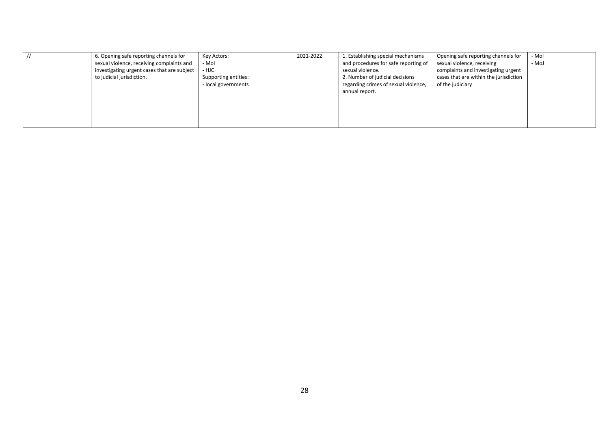| 6. Opening safe reporting channels for      | Key Actors:          | 2021-2022 | 1. Establishing special mechanisms   | Opening safe reporting channels for    | - Mol |
|---------------------------------------------|----------------------|-----------|--------------------------------------|----------------------------------------|-------|
| sexual violence, receiving complaints and   | - Mol                |           | and procedures for safe reporting of | sexual violence, receiving             | - MoJ |
| investigating urgent cases that are subject | - HJC                |           | sexual violence.                     | complaints and investigating urgent    |       |
| to judicial jurisdiction.                   | Supporting entities: |           | 2. Number of judicial decisions      | cases that are within the jurisdiction |       |
|                                             | - local governments  |           | regarding crimes of sexual violence, | of the judiciary                       |       |
|                                             |                      |           | annual report.                       |                                        |       |
|                                             |                      |           |                                      |                                        |       |
|                                             |                      |           |                                      |                                        |       |
|                                             |                      |           |                                      |                                        |       |
|                                             |                      |           |                                      |                                        |       |
|                                             |                      |           |                                      |                                        |       |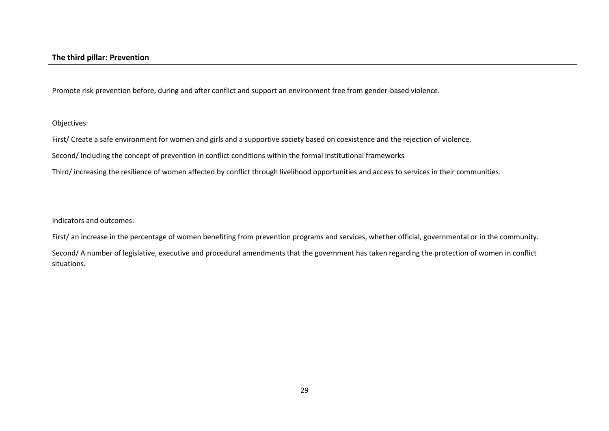Promote risk prevention before, during and after conflict and support an environment free from gender-based violence.

Objectives:

First/ Create a safe environment for women and girls and a supportive society based on coexistence and the rejection of violence.

Second/ Including the concept of prevention in conflict conditions within the formal institutional frameworks

Third/ increasing the resilience of women affected by conflict through livelihood opportunities and access to services in their communities.

Indicators and outcomes:

First/ an increase in the percentage of women benefiting from prevention programs and services, whether official, governmental or in the community.

Second/ A number of legislative, executive and procedural amendments that the government has taken regarding the protection of women in conflict situations.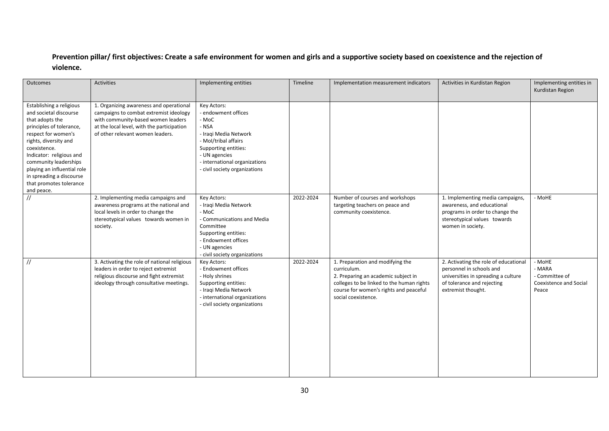## **Prevention pillar/ first objectives: Create a safe environment for women and girls and a supportive society based on coexistence and the rejection of violence.**

| Outcomes                                                                                                                                                                                                                                                                                                                   | <b>Activities</b>                                                                                                                                                                                         | Implementing entities                                                                                                                                                                                            | Timeline  | Implementation measurement indicators                                                                                                                                                                | Activities in Kurdistan Region                                                                                                                               | Implementing entities in<br>Kurdistan Region                          |
|----------------------------------------------------------------------------------------------------------------------------------------------------------------------------------------------------------------------------------------------------------------------------------------------------------------------------|-----------------------------------------------------------------------------------------------------------------------------------------------------------------------------------------------------------|------------------------------------------------------------------------------------------------------------------------------------------------------------------------------------------------------------------|-----------|------------------------------------------------------------------------------------------------------------------------------------------------------------------------------------------------------|--------------------------------------------------------------------------------------------------------------------------------------------------------------|-----------------------------------------------------------------------|
| Establishing a religious<br>and societal discourse<br>that adopts the<br>principles of tolerance,<br>respect for women's<br>rights, diversity and<br>coexistence.<br>Indicator: religious and<br>community leaderships<br>playing an influential role<br>in spreading a discourse<br>that promotes tolerance<br>and peace. | 1. Organizing awareness and operational<br>campaigns to combat extremist ideology<br>with community-based women leaders<br>at the local level, with the participation<br>of other relevant women leaders. | Key Actors:<br>- endowment offices<br>- MoC<br>- NSA<br>- Iraqi Media Network<br>- Mol/tribal affairs<br>Supporting entities:<br>- UN agencies<br>- international organizations<br>- civil society organizations |           |                                                                                                                                                                                                      |                                                                                                                                                              |                                                                       |
| $\frac{1}{2}$                                                                                                                                                                                                                                                                                                              | 2. Implementing media campaigns and<br>awareness programs at the national and<br>local levels in order to change the<br>stereotypical values towards women in<br>society.                                 | Key Actors:<br>- Iraqi Media Network<br>- MoC<br>- Communications and Media<br>Committee<br>Supporting entities:<br>- Endowment offices<br>- UN agencies<br>- civil society organizations                        | 2022-2024 | Number of courses and workshops<br>targeting teachers on peace and<br>community coexistence.                                                                                                         | 1. Implementing media campaigns,<br>awareness, and educational<br>programs in order to change the<br>stereotypical values towards<br>women in society.       | - MoHE                                                                |
| $\frac{1}{2}$                                                                                                                                                                                                                                                                                                              | 3. Activating the role of national religious<br>leaders in order to reject extremist<br>religious discourse and fight extremist<br>ideology through consultative meetings.                                | Key Actors:<br>- Endowment offices<br>- Holy shrines<br>Supporting entities:<br>- Iraqi Media Network<br>- international organizations<br>- civil society organizations                                          | 2022-2024 | 1. Preparation and modifying the<br>curriculum.<br>2. Preparing an academic subject in<br>colleges to be linked to the human rights<br>course for women's rights and peaceful<br>social coexistence. | 2. Activating the role of educational<br>personnel in schools and<br>universities in spreading a culture<br>of tolerance and rejecting<br>extremist thought. | - MoHE<br>- MARA<br>- Committee of<br>Coexistence and Social<br>Peace |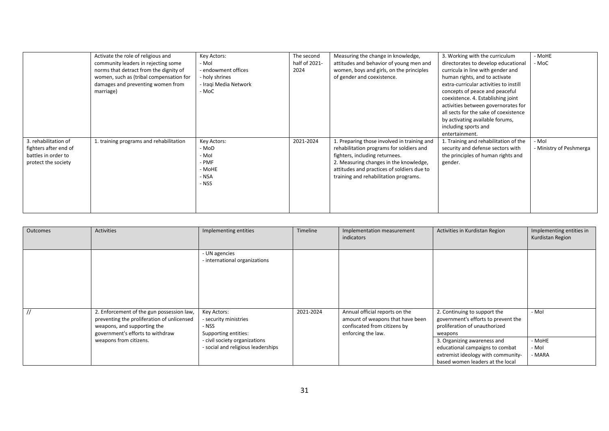|                                                                                             | Activate the role of religious and<br>community leaders in rejecting some<br>norms that detract from the dignity of<br>women, such as (tribal compensation for<br>damages and preventing women from<br>marriage) | Key Actors:<br>- Mol<br>- endowment offices<br>holy shrines<br>- Iraqi Media Network<br>- MoC | The second<br>half of 2021-<br>2024 | Measuring the change in knowledge,<br>attitudes and behavior of young men and<br>women, boys and girls, on the principles<br>of gender and coexistence.                                                                                                    | 3. Working with the curriculum<br>directorates to develop educational<br>curricula in line with gender and<br>human rights, and to activate<br>extra-curricular activities to instill<br>concepts of peace and peaceful<br>coexistence. 4. Establishing joint<br>activities between governorates for<br>all sects for the sake of coexistence<br>by activating available forums,<br>including sports and<br>entertainment. | - MoHE<br>- MoC                  |
|---------------------------------------------------------------------------------------------|------------------------------------------------------------------------------------------------------------------------------------------------------------------------------------------------------------------|-----------------------------------------------------------------------------------------------|-------------------------------------|------------------------------------------------------------------------------------------------------------------------------------------------------------------------------------------------------------------------------------------------------------|----------------------------------------------------------------------------------------------------------------------------------------------------------------------------------------------------------------------------------------------------------------------------------------------------------------------------------------------------------------------------------------------------------------------------|----------------------------------|
| 3. rehabilitation of<br>fighters after end of<br>battles in order to<br>protect the society | 1. training programs and rehabilitation                                                                                                                                                                          | Key Actors:<br>- MoD<br>- Mol<br>- PMF<br>- MoHE<br>- NSA<br>- NSS                            | 2021-2024                           | 1. Preparing those involved in training and<br>rehabilitation programs for soldiers and<br>fighters, including returnees.<br>2. Measuring changes in the knowledge,<br>attitudes and practices of soldiers due to<br>training and rehabilitation programs. | 1. Training and rehabilitation of the<br>security and defense sectors with<br>the principles of human rights and<br>gender.                                                                                                                                                                                                                                                                                                | - Mol<br>- Ministry of Peshmerga |

| Outcomes | <b>Activities</b>                                                                                                                                          | Implementing entities                                                 | Timeline  | Implementation measurement<br>indicators                                                                                 | Activities in Kurdistan Region                                                                                                           | Implementing entities in<br>Kurdistan Region |
|----------|------------------------------------------------------------------------------------------------------------------------------------------------------------|-----------------------------------------------------------------------|-----------|--------------------------------------------------------------------------------------------------------------------------|------------------------------------------------------------------------------------------------------------------------------------------|----------------------------------------------|
|          |                                                                                                                                                            | - UN agencies<br>- international organizations                        |           |                                                                                                                          |                                                                                                                                          |                                              |
|          | 2. Enforcement of the gun possession law,<br>preventing the proliferation of unlicensed<br>weapons, and supporting the<br>government's efforts to withdraw | Key Actors:<br>- security ministries<br>- NSS<br>Supporting entities: | 2021-2024 | Annual official reports on the<br>amount of weapons that have been<br>confiscated from citizens by<br>enforcing the law. | 2. Continuing to support the<br>government's efforts to prevent the<br>proliferation of unauthorized<br>weapons                          | - Mol                                        |
|          | weapons from citizens.                                                                                                                                     | - civil society organizations<br>- social and religious leaderships   |           |                                                                                                                          | 3. Organizing awareness and<br>educational campaigns to combat<br>extremist ideology with community-<br>based women leaders at the local | - MoHE<br>- Mol<br>- MARA                    |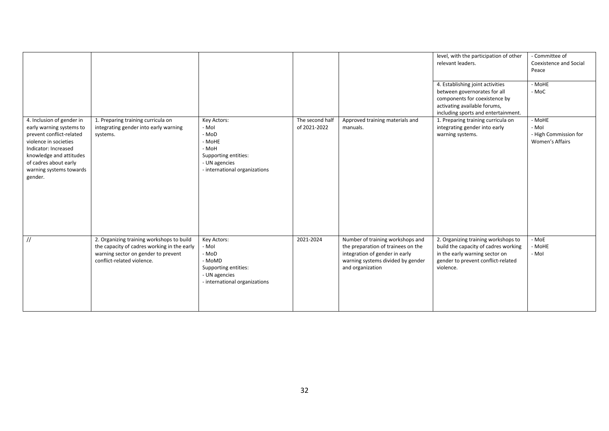|                                                                                                                                                                                                                              |                                                                                                                                                               |                                                                                                                            |                                 |                                                                                                                                                                   | level, with the participation of other<br>relevant leaders.<br>4. Establishing joint activities<br>between governorates for all<br>components for coexistence by<br>activating available forums,<br>including sports and entertainment. | - Committee of<br>Coexistence and Social<br>Peace<br>- MoHE<br>- MoC |
|------------------------------------------------------------------------------------------------------------------------------------------------------------------------------------------------------------------------------|---------------------------------------------------------------------------------------------------------------------------------------------------------------|----------------------------------------------------------------------------------------------------------------------------|---------------------------------|-------------------------------------------------------------------------------------------------------------------------------------------------------------------|-----------------------------------------------------------------------------------------------------------------------------------------------------------------------------------------------------------------------------------------|----------------------------------------------------------------------|
| 4. Inclusion of gender in<br>early warning systems to<br>prevent conflict-related<br>violence in societies<br>Indicator: Increased<br>knowledge and attitudes<br>of cadres about early<br>warning systems towards<br>gender. | 1. Preparing training curricula on<br>integrating gender into early warning<br>systems.                                                                       | Key Actors:<br>- Mol<br>- MoD<br>- MoHE<br>- MoH<br>Supporting entities:<br>- UN agencies<br>- international organizations | The second half<br>of 2021-2022 | Approved training materials and<br>manuals.                                                                                                                       | 1. Preparing training curricula on<br>integrating gender into early<br>warning systems.                                                                                                                                                 | - MoHE<br>- Mol<br>- High Commission for<br>Women's Affairs          |
| $\frac{1}{2}$                                                                                                                                                                                                                | 2. Organizing training workshops to build<br>the capacity of cadres working in the early<br>warning sector on gender to prevent<br>conflict-related violence. | Key Actors:<br>- Mol<br>- MoD<br>- MoMD<br>Supporting entities:<br>- UN agencies<br>- international organizations          | 2021-2024                       | Number of training workshops and<br>the preparation of trainees on the<br>integration of gender in early<br>warning systems divided by gender<br>and organization | 2. Organizing training workshops to<br>build the capacity of cadres working<br>in the early warning sector on<br>gender to prevent conflict-related<br>violence.                                                                        | - MoE<br>- MoHE<br>- Mol                                             |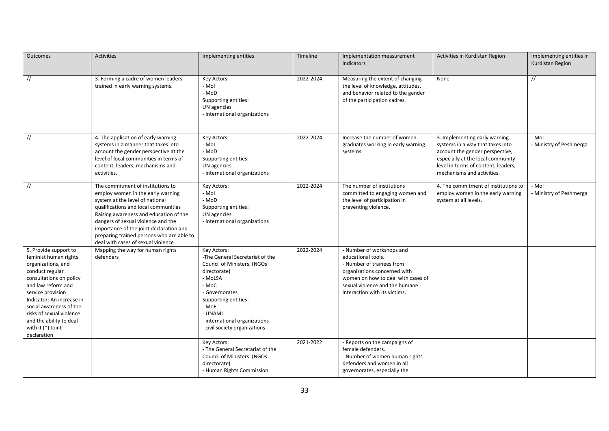| <b>Outcomes</b>                                                                                                                                                                                                                                                                                                  | <b>Activities</b>                                                                                                                                                                                                                                                                                                                                               | Implementing entities                                                                                                                                                                                                                             | Timeline  | Implementation measurement<br>indicators                                                                                                                                                                              | Activities in Kurdistan Region                                                                                                                                                                                 | Implementing entities in<br>Kurdistan Region |
|------------------------------------------------------------------------------------------------------------------------------------------------------------------------------------------------------------------------------------------------------------------------------------------------------------------|-----------------------------------------------------------------------------------------------------------------------------------------------------------------------------------------------------------------------------------------------------------------------------------------------------------------------------------------------------------------|---------------------------------------------------------------------------------------------------------------------------------------------------------------------------------------------------------------------------------------------------|-----------|-----------------------------------------------------------------------------------------------------------------------------------------------------------------------------------------------------------------------|----------------------------------------------------------------------------------------------------------------------------------------------------------------------------------------------------------------|----------------------------------------------|
| $\frac{1}{2}$                                                                                                                                                                                                                                                                                                    | 3. Forming a cadre of women leaders<br>trained in early warning systems.                                                                                                                                                                                                                                                                                        | Key Actors:<br>- Mol<br>- MoD<br>Supporting entities:<br>UN agencies<br>- international organizations                                                                                                                                             | 2022-2024 | Measuring the extent of changing<br>the level of knowledge, attitudes,<br>and behavior related to the gender<br>of the participation cadres.                                                                          | None                                                                                                                                                                                                           | $\frac{1}{2}$                                |
| $\frac{1}{2}$                                                                                                                                                                                                                                                                                                    | 4. The application of early warning<br>systems in a manner that takes into<br>account the gender perspective at the<br>level of local communities in terms of<br>content, leaders, mechanisms and<br>activities.                                                                                                                                                | Key Actors:<br>- Mol<br>- MoD<br>Supporting entities:<br>UN agencies<br>- international organizations                                                                                                                                             | 2022-2024 | Increase the number of women<br>graduates working in early warning<br>systems.                                                                                                                                        | 3. Implementing early warning<br>systems in a way that takes into<br>account the gender perspective,<br>especially at the local community<br>level in terms of content, leaders,<br>mechanisms and activities. | - Mol<br>- Ministry of Peshmerga             |
| $\frac{1}{2}$                                                                                                                                                                                                                                                                                                    | The commitment of institutions to<br>employ women in the early warning<br>system at the level of national<br>qualifications and local communities<br>Raising awareness and education of the<br>dangers of sexual violence and the<br>importance of the joint declaration and<br>preparing trained persons who are able to<br>deal with cases of sexual violence | Key Actors:<br>- Mol<br>- MoD<br>Supporting entities:<br>UN agencies<br>- international organizations                                                                                                                                             | 2022-2024 | The number of institutions<br>committed to engaging women and<br>the level of participation in<br>preventing violence.                                                                                                | 4. The commitment of institutions to<br>employ women in the early warning<br>system at all levels.                                                                                                             | - Mol<br>- Ministry of Peshmerga             |
| 5. Provide support to<br>feminist human rights<br>organizations, and<br>conduct regular<br>consultations on policy<br>and law reform and<br>service provision<br>Indicator: An increase in<br>social awareness of the<br>risks of sexual violence<br>and the ability to deal<br>with it (*) Joint<br>declaration | Mapping the way for human rights<br>defenders                                                                                                                                                                                                                                                                                                                   | Key Actors:<br>-The General Secretariat of the<br>Council of Ministers. (NGOs<br>directorate)<br>- MoLSA<br>- MoC<br>- Governorates<br>Supporting entities:<br>- MoF<br>- UNAMI<br>- international organizations<br>- civil society organizations | 2022-2024 | - Number of workshops and<br>educational tools.<br>- Number of trainees from<br>organizations concerned with<br>women on how to deal with cases of<br>sexual violence and the humane<br>interaction with its victims. |                                                                                                                                                                                                                |                                              |
|                                                                                                                                                                                                                                                                                                                  |                                                                                                                                                                                                                                                                                                                                                                 | Key Actors:<br>- The General Secretariat of the<br>Council of Ministers. (NGOs<br>directorate)<br>- Human Rights Commission                                                                                                                       | 2021-2022 | - Reports on the campaigns of<br>female defenders.<br>- Number of women human rights<br>defenders and women in all<br>governorates, especially the                                                                    |                                                                                                                                                                                                                |                                              |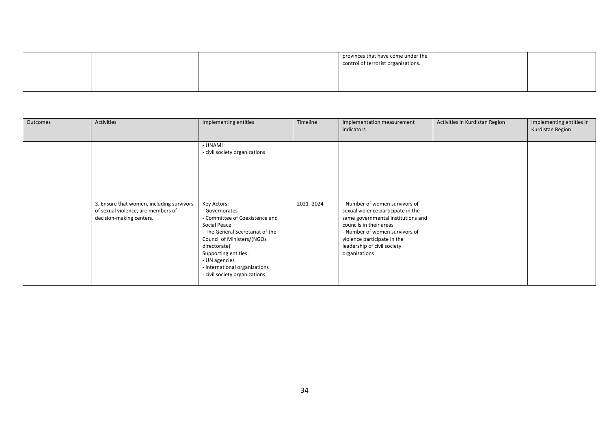|  |  | provinces that have come under the<br>control of terrorist organizations. |  |
|--|--|---------------------------------------------------------------------------|--|
|  |  |                                                                           |  |

| Outcomes | <b>Activities</b>                                                                                           | Implementing entities                                                                                                                                                                                                                                                        | Timeline  | Implementation measurement<br>indicators                                                                                                                                                                                                               | Activities in Kurdistan Region | Implementing entities in<br>Kurdistan Region |
|----------|-------------------------------------------------------------------------------------------------------------|------------------------------------------------------------------------------------------------------------------------------------------------------------------------------------------------------------------------------------------------------------------------------|-----------|--------------------------------------------------------------------------------------------------------------------------------------------------------------------------------------------------------------------------------------------------------|--------------------------------|----------------------------------------------|
|          |                                                                                                             | - UNAMI<br>- civil society organizations                                                                                                                                                                                                                                     |           |                                                                                                                                                                                                                                                        |                                |                                              |
|          | 3. Ensure that women, including survivors<br>of sexual violence, are members of<br>decision-making centers. | Key Actors:<br>- Governorates<br>- Committee of Coexistence and<br>Social Peace<br>- The General Secretariat of the<br>Council of Ministers/(NGOs<br>directorate)<br>Supporting entities:<br>- UN agencies<br>- international organizations<br>- civil society organizations | 2021-2024 | - Number of women survivors of<br>sexual violence participate in the<br>same governmental institutions and<br>councils in their areas<br>- Number of women survivors of<br>violence participate in the<br>leadership of civil society<br>organizations |                                |                                              |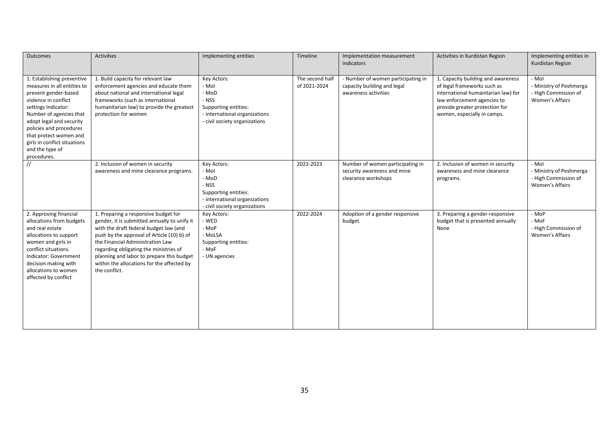| <b>Outcomes</b>                                                                                                                                                                                                                                                                                                | <b>Activities</b>                                                                                                                                                                                                                                                                                                                                                      | Implementing entities                                                                                                            | Timeline                        | Implementation measurement<br>indicators                                                  | Activities in Kurdistan Region                                                                                                                                                                           | Implementing entities in<br>Kurdistan Region                                |
|----------------------------------------------------------------------------------------------------------------------------------------------------------------------------------------------------------------------------------------------------------------------------------------------------------------|------------------------------------------------------------------------------------------------------------------------------------------------------------------------------------------------------------------------------------------------------------------------------------------------------------------------------------------------------------------------|----------------------------------------------------------------------------------------------------------------------------------|---------------------------------|-------------------------------------------------------------------------------------------|----------------------------------------------------------------------------------------------------------------------------------------------------------------------------------------------------------|-----------------------------------------------------------------------------|
| 1. Establishing preventive<br>measures in all entities to<br>prevent gender-based<br>violence in conflict<br>settings Indicator:<br>Number of agencies that<br>adopt legal and security<br>policies and procedures<br>that protect women and<br>girls in conflict situations<br>and the type of<br>procedures. | 1. Build capacity for relevant law<br>enforcement agencies and educate them<br>about national and international legal<br>frameworks (such as international<br>humanitarian law) to provide the greatest<br>protection for women                                                                                                                                        | Key Actors:<br>- Mol<br>- MoD<br>- NSS<br>Supporting entities:<br>- international organizations<br>- civil society organizations | The second half<br>of 2021-2024 | - Number of women participating in<br>capacity building and legal<br>awareness activities | 1. Capacity building and awareness<br>of legal frameworks such as<br>international humanitarian law) for<br>law enforcement agencies to<br>provide greater protection for<br>women, especially in camps. | - Mol<br>- Ministry of Peshmerga<br>- High Commission of<br>Women's Affairs |
| $\prime\prime$                                                                                                                                                                                                                                                                                                 | 2. Inclusion of women in security<br>awareness and mine clearance programs.                                                                                                                                                                                                                                                                                            | Key Actors:<br>- Mol<br>- MoD<br>- NSS<br>Supporting entities:<br>- international organizations<br>- civil society organizations | 2022-2023                       | Number of women participating in<br>security awareness and mine<br>clearance workshops    | 2. Inclusion of women in security<br>awareness and mine clearance<br>programs.                                                                                                                           | - Mol<br>- Ministry of Peshmerga<br>- High Commission of<br>Women's Affairs |
| 2. Approving financial<br>allocations from budgets<br>and real estate<br>allocations to support<br>women and girls in<br>conflict situations.<br>Indicator: Government<br>decision making with<br>allocations to women<br>affected by conflict                                                                 | 1. Preparing a responsive budget for<br>gender, it is submitted annually to unify it<br>with the draft federal budget law (and<br>push by the approval of Article (10) b) of<br>the Financial Administration Law<br>regarding obligating the ministries of<br>planning and labor to prepare this budget<br>within the allocations for the affected by<br>the conflict. | Key Actors:<br>- WED<br>- MoP<br>- MoLSA<br>Supporting entities:<br>- MoF<br>- UN agencies                                       | 2022-2024                       | Adoption of a gender responsive<br>budget.                                                | 3. Preparing a gender-responsive<br>budget that is presented annually<br>None                                                                                                                            | - MoP<br>- MoF<br>- High Commission of<br><b>Women's Affairs</b>            |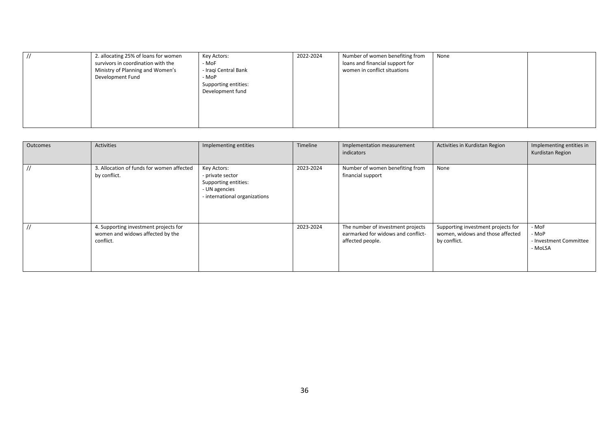|  | 2. allocating 25% of loans for women<br>survivors in coordination with the<br>Ministry of Planning and Women's<br>Development Fund | Key Actors:<br>- MoF<br>- Iraqi Central Bank<br>- MoP<br>Supporting entities:<br>Development fund | 2022-2024 | Number of women benefiting from<br>loans and financial support for<br>women in conflict situations | None |  |
|--|------------------------------------------------------------------------------------------------------------------------------------|---------------------------------------------------------------------------------------------------|-----------|----------------------------------------------------------------------------------------------------|------|--|
|--|------------------------------------------------------------------------------------------------------------------------------------|---------------------------------------------------------------------------------------------------|-----------|----------------------------------------------------------------------------------------------------|------|--|

| Outcomes | Activities                                                                             | Implementing entities                                                                                     | Timeline  | Implementation measurement<br>indicators                                                    | Activities in Kurdistan Region                                                         | Implementing entities in<br>Kurdistan Region        |
|----------|----------------------------------------------------------------------------------------|-----------------------------------------------------------------------------------------------------------|-----------|---------------------------------------------------------------------------------------------|----------------------------------------------------------------------------------------|-----------------------------------------------------|
|          | 3. Allocation of funds for women affected<br>by conflict.                              | Key Actors:<br>- private sector<br>Supporting entities:<br>- UN agencies<br>- international organizations | 2023-2024 | Number of women benefiting from<br>financial support                                        | None                                                                                   |                                                     |
|          | 4. Supporting investment projects for<br>women and widows affected by the<br>conflict. |                                                                                                           | 2023-2024 | The number of investment projects<br>earmarked for widows and conflict-<br>affected people. | Supporting investment projects for<br>women, widows and those affected<br>by conflict. | - MoF<br>- MoP<br>- Investment Committee<br>- MoLSA |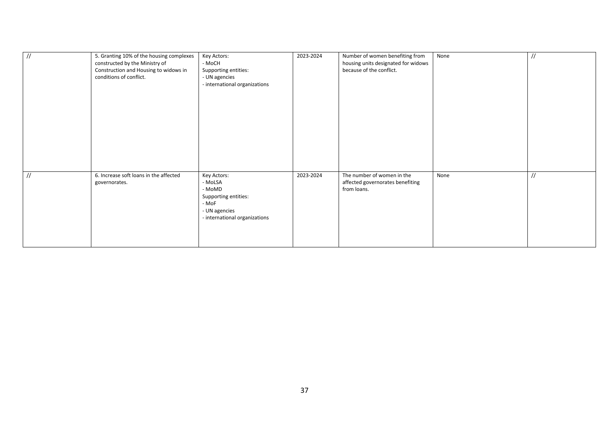| $\frac{1}{2}$ | 5. Granting 10% of the housing complexes<br>constructed by the Ministry of<br>Construction and Housing to widows in<br>conditions of conflict. | Key Actors:<br>- MoCH<br>Supporting entities:<br>- UN agencies<br>- international organizations                     | 2023-2024 | Number of women benefiting from<br>housing units designated for widows<br>because of the conflict. | None | $\frac{1}{2}$ |
|---------------|------------------------------------------------------------------------------------------------------------------------------------------------|---------------------------------------------------------------------------------------------------------------------|-----------|----------------------------------------------------------------------------------------------------|------|---------------|
| $\frac{1}{2}$ | 6. Increase soft loans in the affected<br>governorates.                                                                                        | Key Actors:<br>- MoLSA<br>- MoMD<br>Supporting entities:<br>- MoF<br>- UN agencies<br>- international organizations | 2023-2024 | The number of women in the<br>affected governorates benefiting<br>from loans.                      | None | $\frac{1}{2}$ |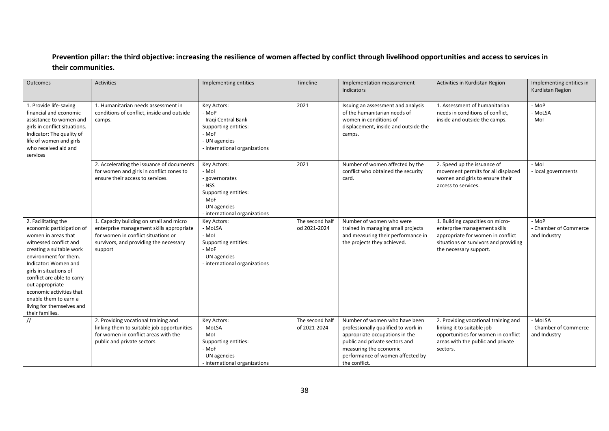### **Prevention pillar: the third objective: increasing the resilience of women affected by conflict through livelihood opportunities and access to services in their communities.**

| Outcomes                                                                                                                                                                                                                                                                                                                                                       | Activities                                                                                                                                                                      | Implementing entities                                                                                                              | Timeline                        | Implementation measurement<br>indicators                                                                                                                                                                                | Activities in Kurdistan Region                                                                                                                                           | Implementing entities in<br>Kurdistan Region     |
|----------------------------------------------------------------------------------------------------------------------------------------------------------------------------------------------------------------------------------------------------------------------------------------------------------------------------------------------------------------|---------------------------------------------------------------------------------------------------------------------------------------------------------------------------------|------------------------------------------------------------------------------------------------------------------------------------|---------------------------------|-------------------------------------------------------------------------------------------------------------------------------------------------------------------------------------------------------------------------|--------------------------------------------------------------------------------------------------------------------------------------------------------------------------|--------------------------------------------------|
| 1. Provide life-saving<br>financial and economic<br>assistance to women and<br>girls in conflict situations.<br>Indicator: The quality of<br>life of women and girls<br>who received aid and<br>services                                                                                                                                                       | 1. Humanitarian needs assessment in<br>conditions of conflict, inside and outside<br>camps.                                                                                     | Key Actors:<br>- MoP<br>- Iraqi Central Bank<br>Supporting entities:<br>- MoF<br>- UN agencies<br>- international organizations    | 2021                            | Issuing an assessment and analysis<br>of the humanitarian needs of<br>women in conditions of<br>displacement, inside and outside the<br>camps.                                                                          | 1. Assessment of humanitarian<br>needs in conditions of conflict,<br>inside and outside the camps.                                                                       | - MoP<br>- MoLSA<br>- Mol                        |
|                                                                                                                                                                                                                                                                                                                                                                | 2. Accelerating the issuance of documents<br>for women and girls in conflict zones to<br>ensure their access to services.                                                       | Key Actors:<br>- Mol<br>- governorates<br>- NSS<br>Supporting entities:<br>- MoF<br>- UN agencies<br>- international organizations | 2021                            | Number of women affected by the<br>conflict who obtained the security<br>card.                                                                                                                                          | 2. Speed up the issuance of<br>movement permits for all displaced<br>women and girls to ensure their<br>access to services.                                              | - Mol<br>- local governments                     |
| 2. Facilitating the<br>economic participation of<br>women in areas that<br>witnessed conflict and<br>creating a suitable work<br>environment for them.<br>Indicator: Women and<br>girls in situations of<br>conflict are able to carry<br>out appropriate<br>economic activities that<br>enable them to earn a<br>living for themselves and<br>their families. | 1. Capacity building on small and micro<br>enterprise management skills appropriate<br>for women in conflict situations or<br>survivors, and providing the necessary<br>support | Key Actors:<br>- MoLSA<br>- Mol<br>Supporting entities:<br>- MoF<br>- UN agencies<br>- international organizations                 | The second half<br>od 2021-2024 | Number of women who were<br>trained in managing small projects<br>and measuring their performance in<br>the projects they achieved.                                                                                     | 1. Building capacities on micro-<br>enterprise management skills<br>appropriate for women in conflict<br>situations or survivors and providing<br>the necessary support. | - MoP<br>- Chamber of Commerce<br>and Industry   |
| $\frac{1}{2}$                                                                                                                                                                                                                                                                                                                                                  | 2. Providing vocational training and<br>linking them to suitable job opportunities<br>for women in conflict areas with the<br>public and private sectors.                       | Key Actors:<br>- MoLSA<br>- Mol<br>Supporting entities:<br>- MoF<br>- UN agencies<br>- international organizations                 | The second half<br>of 2021-2024 | Number of women who have been<br>professionally qualified to work in<br>appropriate occupations in the<br>public and private sectors and<br>measuring the economic<br>performance of women affected by<br>the conflict. | 2. Providing vocational training and<br>linking it to suitable job<br>opportunities for women in conflict<br>areas with the public and private<br>sectors.               | - MoLSA<br>- Chamber of Commerce<br>and Industry |